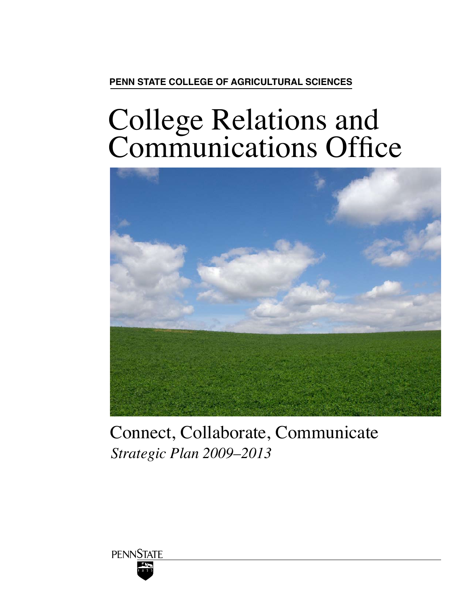# **Penn State College of Agricultural Sciences**

# College Relations and Communications Office



# *Strategic Plan 2009–2013* Connect, Collaborate, Communicate

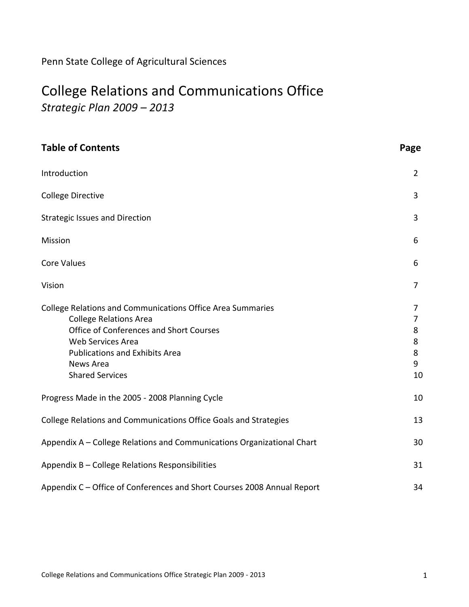# Penn
State
College
of
Agricultural
Sciences

# College
Relations
and
Communications
Office

*Strategic
Plan
2009
–
2013*

| <b>Table of Contents</b>                                                                                                                                                                                                                           | Page                             |
|----------------------------------------------------------------------------------------------------------------------------------------------------------------------------------------------------------------------------------------------------|----------------------------------|
| Introduction                                                                                                                                                                                                                                       | $\overline{2}$                   |
| <b>College Directive</b>                                                                                                                                                                                                                           | 3                                |
| <b>Strategic Issues and Direction</b>                                                                                                                                                                                                              | 3                                |
| Mission                                                                                                                                                                                                                                            | 6                                |
| <b>Core Values</b>                                                                                                                                                                                                                                 | 6                                |
| Vision                                                                                                                                                                                                                                             | 7                                |
| <b>College Relations and Communications Office Area Summaries</b><br><b>College Relations Area</b><br>Office of Conferences and Short Courses<br>Web Services Area<br><b>Publications and Exhibits Area</b><br>News Area<br><b>Shared Services</b> | 7<br>7<br>8<br>8<br>8<br>9<br>10 |
| Progress Made in the 2005 - 2008 Planning Cycle                                                                                                                                                                                                    | 10                               |
| College Relations and Communications Office Goals and Strategies                                                                                                                                                                                   | 13                               |
| Appendix A - College Relations and Communications Organizational Chart                                                                                                                                                                             | 30                               |
| Appendix B - College Relations Responsibilities                                                                                                                                                                                                    | 31                               |
| Appendix C - Office of Conferences and Short Courses 2008 Annual Report                                                                                                                                                                            | 34                               |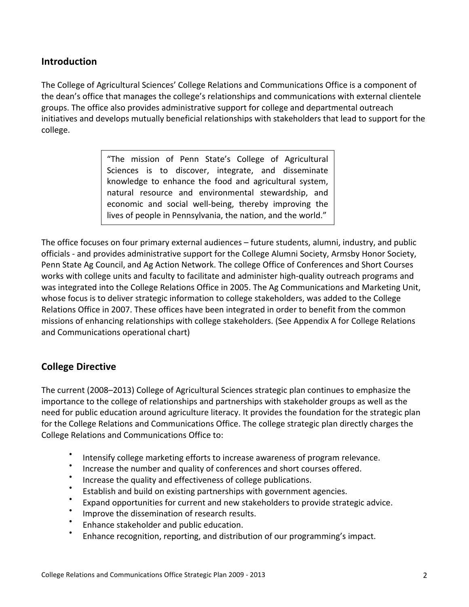# **Introduction**

The College of Agricultural Sciences' College Relations and Communications Office is a component of the dean's office that manages the college's relationships and communications with external clientele groups.
The
office
also
provides
administrative
support
for
college
and
departmental
outreach initiatives and develops mutually beneficial relationships with stakeholders that lead to support for the college.

> "The
>  mission
>  of
>  Penn
>  State's
>  College
>  of
>  Agricultural Sciences is to discover, integrate, and disseminate knowledge
>  to
>  enhance
>  the
>  food
>  and
>  agricultural
>  system, natural
>  resource
>  and
>  environmental
>  stewardship,
>  and economic
>  and
>  social
>  well‐being,
>  thereby
>  improving
>  the lives of people in Pennsylvania, the nation, and the world."

The office focuses on four primary external audiences - future students, alumni, industry, and public officials - and provides administrative support for the College Alumni Society, Armsby Honor Society, Penn State Ag Council, and Ag Action Network. The college Office of Conferences and Short Courses works with college units and faculty to facilitate and administer high-quality outreach programs and was integrated into the College Relations Office in 2005. The Ag Communications and Marketing Unit, whose focus is to deliver strategic information to college stakeholders, was added to the College Relations Office in 2007. These offices have been integrated in order to benefit from the common missions of enhancing relationships with college stakeholders. (See Appendix A for College Relations and
Communications
operational
chart)

# **College
Directive**

The
current
(2008–2013)
College
of
Agricultural
Sciences strategic
plan
continues
to
emphasize
the importance to the college of relationships and partnerships with stakeholder groups as well as the need for public education around agriculture literacy. It provides the foundation for the strategic plan for the College Relations and Communications Office. The college strategic plan directly charges the College
Relations
and
Communications
Office
to:

- Intensify college marketing efforts to increase awareness of program relevance.
- Increase the number and quality of conferences and short courses offered.
- Increase the quality and effectiveness of college publications.
- Establish and build on existing partnerships with government agencies.
- Expand opportunities for current and new stakeholders to provide strategic advice.
- Improve the dissemination of research results.
- Enhance stakeholder and public education.
- Enhance recognition, reporting, and distribution of our programming's impact.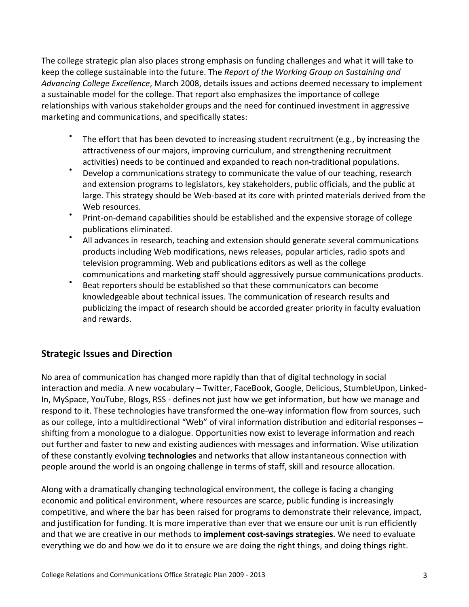The college strategic plan also places strong emphasis on funding challenges and what it will take to keep the college sustainable into the future. The *Report of the Working Group on Sustaining and* Advancing College Excellence, March 2008, details issues and actions deemed necessary to implement a sustainable model for the college. That report also emphasizes the importance of college relationships
with
various
stakeholder
groups
and
the
need
for
continued
investment
in
aggressive marketing
and
communications,
and
specifically
states:

- The effort that has been devoted to increasing student recruitment (e.g., by increasing the attractiveness
of
our
majors,
improving
curriculum,
and
strengthening
recruitment activities)
needs
to
be
continued
and
expanded
to
reach
non‐traditional
populations.
- Develop a communications strategy to communicate the value of our teaching, research and extension programs to legislators, key stakeholders, public officials, and the public at large. This strategy should be Web-based at its core with printed materials derived from the Web
resources.
- Print-on-demand capabilities should be established and the expensive storage of college publications
eliminated.
- All advances in research, teaching and extension should generate several communications products including Web modifications, news releases, popular articles, radio spots and television programming. Web and publications editors as well as the college communications
and
marketing
staff
should
aggressively
pursue
communications
products.
- Beat reporters should be established so that these communicators can become knowledgeable about technical issues. The communication of research results and publicizing
the
impact
of
research
should
be
accorded
greater
priority
in
faculty
evaluation and
rewards.

# **Strategic
Issues
and
Direction**

No area of communication has changed more rapidly than that of digital technology in social interaction and media. A new vocabulary – Twitter, FaceBook, Google, Delicious, StumbleUpon, Linked-In, MySpace, YouTube, Blogs, RSS - defines not just how we get information, but how we manage and respond to it. These technologies have transformed the one-way information flow from sources, such as our college, into a multidirectional "Web" of viral information distribution and editorial responses shifting from a monologue to a dialogue. Opportunities now exist to leverage information and reach out further and faster to new and existing audiences with messages and information. Wise utilization of these
constantly
evolving **technologies**and
networks
that
allow
instantaneous
connection
with people
around
the
world
is
an
ongoing
challenge
in
terms
of
staff,
skill
and
resource
allocation.

Along with a dramatically changing technological environment, the college is facing a changing economic and political environment, where resources are scarce, public funding is increasingly competitive,
and
where
the
bar
has
been
raised
for
programs
to
demonstrate
their
relevance,
impact, and justification for funding. It is more imperative than ever that we ensure our unit is run efficiently and that we are creative in our methods to *implement cost-savings strategies*. We need to evaluate everything we do and how we do it to ensure we are doing the right things, and doing things right.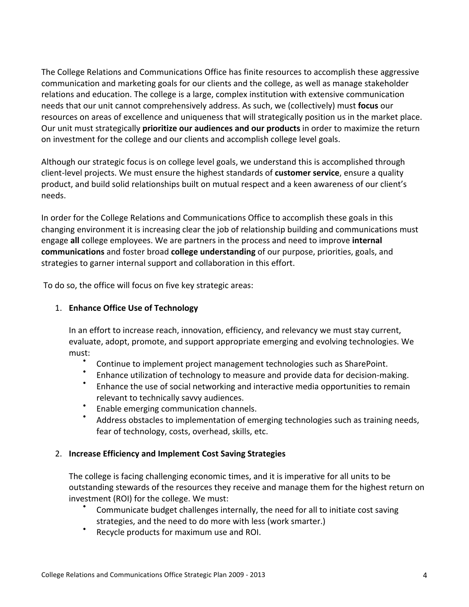The
College
Relations
and
Communications
Office
has
finite
resources
to
accomplish
these
aggressive communication and marketing goals for our clients and the college, as well as manage stakeholder relations and education. The college is a large, complex institution with extensive communication needs that our unit cannot comprehensively address. As such, we (collectively) must **focus** our resources on areas of excellence and uniqueness that will strategically position us in the market place. Our unit must strategically **prioritize our audiences and our products** in order to maximize the return on
investment
for
the
college
and
our
clients
and
accomplish
college
level
goals.

Although our strategic focus is on college level goals, we understand this is accomplished through client-level projects. We must ensure the highest standards of customer service, ensure a quality product, and build solid relationships built on mutual respect and a keen awareness of our client's needs.

In order for the College Relations and Communications Office to accomplish these goals in this changing environment it is increasing clear the job of relationship building and communications must engage all college employees. We are partners in the process and need to improve **internal** communications and foster broad college understanding of our purpose, priorities, goals, and strategies
to
garner
internal
support
and
collaboration
in
this
effort.

To
do
so,
the
office
will
focus
on
five
key
strategic
areas:

#### 1. **Enhance
Office
Use
of
Technology**

In an effort to increase reach, innovation, efficiency, and relevancy we must stay current, evaluate, adopt, promote, and support appropriate emerging and evolving technologies. We must:

- Continue to implement project management technologies such as SharePoint.
- Enhance utilization of technology to measure and provide data for decision-making.
- Enhance the use of social networking and interactive media opportunities to remain relevant
to
technically
savvy
audiences.
- Enable
emerging
communication
channels.
- Address obstacles to implementation of emerging technologies such as training needs, fear
of
technology,
costs,
overhead,
skills,
etc.

#### 2. **Increase
Efficiency
and
Implement
Cost
Saving
Strategies**

The college is facing challenging economic times, and it is imperative for all units to be outstanding stewards of the resources they receive and manage them for the highest return on investment
(ROI)
for
the
college.
We
must:

- Communicate budget challenges internally, the need for all to initiate cost saving strategies,
and
the
need
to
do
more
with
less
(work
smarter.)
- Recycle products for maximum use and ROI.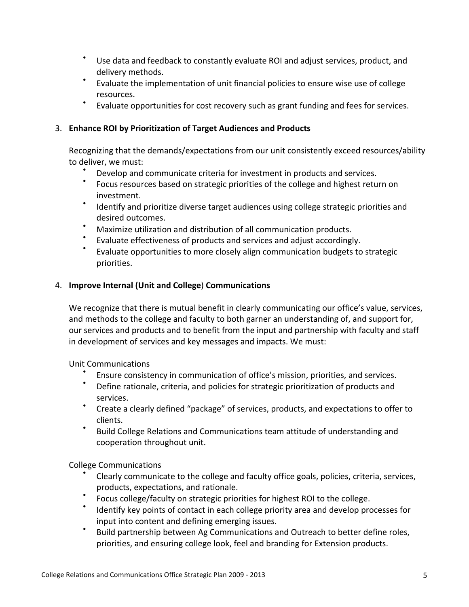- Use
data
and
feedback
to
constantly
evaluate
ROI
and
adjust services,
product,
and delivery
methods.
- Evaluate the implementation of unit financial policies to ensure wise use of college resources.
- Evaluate opportunities for cost recovery such as grant funding and fees for services.

### 3. **Enhance
ROI
by
Prioritization
of
Target
Audiences
and
Products**

Recognizing that the demands/expectations from our unit consistently exceed resources/ability to
deliver,
we must:

- Develop and communicate criteria for investment in products and services.
- Focus resources based on strategic priorities of the college and highest return on investment.
- \* Identify and prioritize diverse target audiences using college strategic priorities and desired
outcomes.
- Maximize utilization and distribution of all communication products.
- Evaluate effectiveness of products and services and adjust accordingly.
- Evaluate opportunities to more closely align communication budgets to strategic priorities.

#### 4. **Improve
Internal
(Unit
and
College**) **Communications**

We recognize that there is mutual benefit in clearly communicating our office's value, services, and methods to the college and faculty to both garner an understanding of, and support for, our services and products and to benefit from the input and partnership with faculty and staff in development of services and key messages and impacts. We must:

Unit
Communications

- Ensure consistency in communication of office's mission, priorities, and services.
- Define rationale, criteria, and policies for strategic prioritization of products and services.
- Create a clearly defined "package" of services, products, and expectations to offer to clients.
- Build College Relations and Communications team attitude of understanding and cooperation
throughout
unit.

College
Communications

- Clearly communicate to the college and faculty office goals, policies, criteria, services, products,
expectations,
and
rationale.
- Focus college/faculty on strategic priorities for highest ROI to the college.
- Identify key points of contact in each college priority area and develop processes for input
into
content
and
defining
emerging
issues.
- Build partnership between Ag Communications and Outreach to better define roles, priorities, and ensuring college look, feel and branding for Extension products.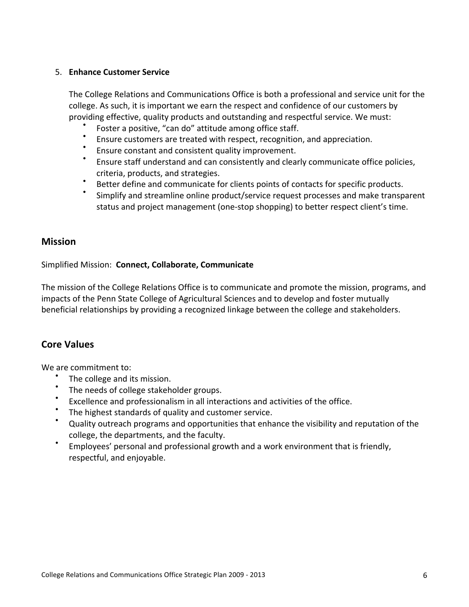#### 5. **Enhance
Customer
Service**

The College Relations and Communications Office is both a professional and service unit for the college. As such, it is important we earn the respect and confidence of our customers by providing effective, quality products and outstanding and respectful service. We must:

- Foster a positive, "can do" attitude among office staff.
- Ensure
customers
are
treated
with
respect,
recognition,
and
appreciation.
- Ensure constant and consistent quality improvement.<br>• Ensure staff understand and can consistently and close
- Ensure staff understand and can consistently and clearly communicate office policies, criteria,
products,
and
strategies.
- Better define and communicate for clients points of contacts for specific products.
- Simplify and streamline online product/service request processes and make transparent status and project management (one-stop shopping) to better respect client's time.

#### **Mission**

#### Simplified
Mission: **Connect,
Collaborate,
Communicate**

The
mission
of
the
College
Relations
Office
is
to
communicate
and
promote
the
mission,
programs,
and impacts of the Penn State College of Agricultural Sciences and to develop and foster mutually beneficial
relationships
by
providing
a
recognized
linkage
between
the
college
and
stakeholders.

### **Core
Values**

We
are
commitment
to:

- The college and its mission.
- The needs of college stakeholder groups.
- Excellence and professionalism in all interactions and activities of the office.
- The highest standards of quality and customer service.
- Quality outreach programs and opportunities that enhance the visibility and reputation of the college,
the
departments,
and
the
faculty.
- Employees' personal and professional growth and a work environment that is friendly, respectful,
and
enjoyable.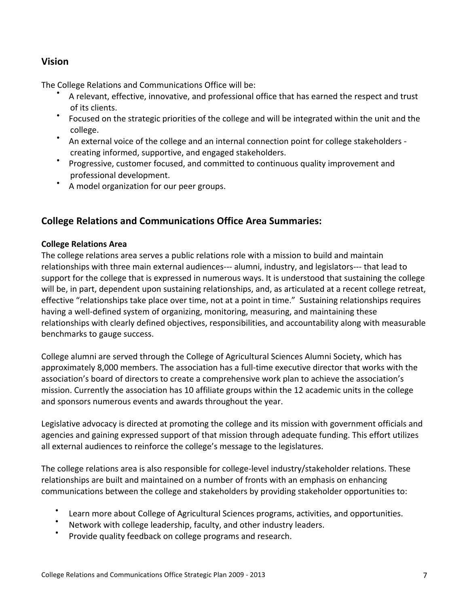# **Vision**

The
College
Relations
and
Communications
Office
will
be:

- A relevant, effective, innovative, and professional office that has earned the respect and trust of
its
clients.
- Focused on the strategic priorities of the college and will be integrated within the unit and the college.
- An external voice of the college and an internal connection point for college stakeholders creating
informed,
supportive,
and
engaged
stakeholders.
- Progressive, customer focused, and committed to continuous quality improvement and professional
development.
- A model organization for our peer groups.

### **College
Relations
and
Communications Office
Area
Summaries:**

#### **College
Relations
Area**

The college relations area serves a public relations role with a mission to build and maintain relationships with three main external audiences--- alumni, industry, and legislators--- that lead to support for the college that is expressed in numerous ways. It is understood that sustaining the college will be, in part, dependent upon sustaining relationships, and, as articulated at a recent college retreat, effective "relationships take place over time, not at a point in time." Sustaining relationships requires having a well-defined system of organizing, monitoring, measuring, and maintaining these relationships with clearly defined objectives, responsibilities, and accountability along with measurable benchmarks
to
gauge
success.

College alumni are served through the College of Agricultural Sciences Alumni Society, which has approximately 8,000 members. The association has a full-time executive director that works with the association's board of directors to create a comprehensive work plan to achieve the association's mission. Currently the association has 10 affiliate groups within the 12 academic units in the college and
sponsors
numerous
events
and
awards
throughout
the
year.

Legislative advocacy is directed at promoting the college and its mission with government officials and agencies and gaining expressed support of that mission through adequate funding. This effort utilizes all external audiences to reinforce the college's message to the legislatures.

The college relations area is also responsible for college-level industry/stakeholder relations. These relationships are built and maintained on a number of fronts with an emphasis on enhancing communications
between
the
college
and
stakeholders
by
providing
stakeholder
opportunities
to:

- Learn more about College of Agricultural Sciences programs, activities, and opportunities.
- Network with college leadership, faculty, and other industry leaders.
- Provide quality feedback on college programs and research.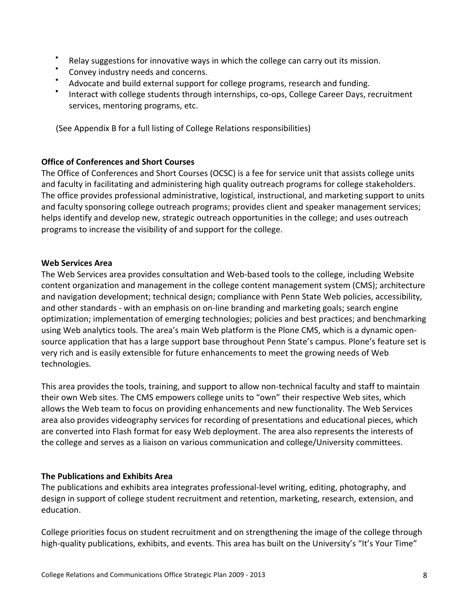- Relay suggestions for innovative ways in which the college can carry out its mission.
- Convey industry needs and concerns.
- Advocate and build external support for college programs, research and funding.
- Interact with college students through internships, co-ops, College Career Days, recruitment services, mentoring
programs,
etc.

(See
Appendix
B
for
a
full
listing
of
College
Relations
responsibilities)

#### **Office
of
Conferences
and
Short
Courses**

The Office of Conferences and Short Courses (OCSC) is a fee for service unit that assists college units and faculty in facilitating and administering high quality outreach programs for college stakeholders. The
office
provides
professional
administrative,
logistical,
instructional,
and
marketing
support
to
units and
faculty
sponsoring
college
outreach
programs;
provides
client
and
speaker
management
services; helps identify and develop new, strategic outreach opportunities in the college; and uses outreach programs
to
increase
the
visibility
of
and
support
for
the
college.

#### **Web
Services
Area**

The Web Services area provides consultation and Web-based tools to the college, including Website content
organization
and
management
in
the
college
content
management
system
(CMS);
architecture and navigation development; technical design; compliance with Penn State Web policies, accessibility, and other standards - with an emphasis on on-line branding and marketing goals; search engine optimization;
implementation
of
emerging
technologies;
policies
and
best
practices;
and
benchmarking using Web analytics tools. The area's main Web platform is the Plone CMS, which is a dynamic opensource application that has a large support base throughout Penn State's campus. Plone's feature set is very
rich
and
is
easily
extensible
for
future
enhancements
to
meet
the
growing
needs
of
Web technologies.

This area provides the tools, training, and support to allow non-technical faculty and staff to maintain their own Web sites. The CMS empowers college units to "own" their respective Web sites, which allows the Web team to focus on providing enhancements and new functionality. The Web Services area also provides videography services for recording of presentations and educational pieces, which are
converted
into
Flash
format
for
easy
Web
deployment.
The
area
also
represents
the
interests
of the college and serves as a liaison on various communication and college/University committees.

#### **The
Publications
and
Exhibits
Area**

The publications and exhibits area integrates professional-level writing, editing, photography, and design in support of college student recruitment and retention, marketing, research, extension, and education.

College priorities focus on student recruitment and on strengthening the image of the college through high-quality publications, exhibits, and events. This area has built on the University's "It's Your Time"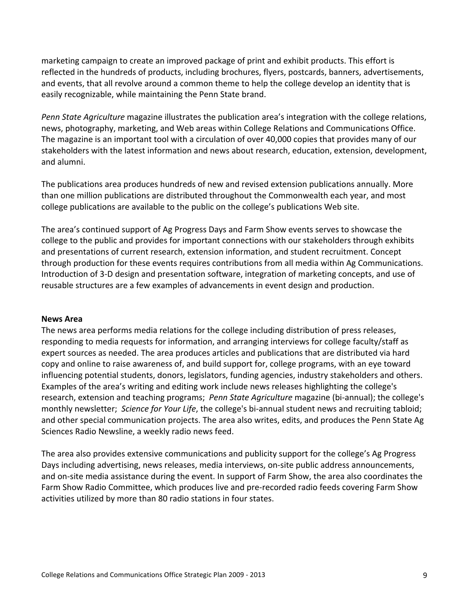marketing campaign to create an improved package of print and exhibit products. This effort is reflected
in
the
hundreds
of
products,
including
brochures,
flyers,
postcards,
banners,
advertisements, and events, that all revolve around a common theme to help the college develop an identity that is easily recognizable, while maintaining the Penn State brand.

Penn State Agriculture magazine illustrates the publication area's integration with the college relations, news, photography, marketing, and Web areas within College Relations and Communications Office. The magazine is an important tool with a circulation of over 40,000 copies that provides many of our stakeholders with the latest information and news about research, education, extension, development, and
alumni.

The
publications
area
produces
hundreds
of
new
and
revised
extension
publications
annually.
More than one million publications are distributed throughout the Commonwealth each year, and most college publications are available to the public on the college's publications Web site.

The
area's
continued
support
of
Ag
Progress
Days
and
Farm
Show
events
serves
to
showcase
the college to the public and provides for important connections with our stakeholders through exhibits and
presentations
of
current
research,
extension
information,
and
student
recruitment.
Concept through
production
for
these
events
requires
contributions
from
all
media
within
Ag
Communications. Introduction of 3-D design and presentation software, integration of marketing concepts, and use of reusable structures are a few examples of advancements in event design and production.

#### **News
Area**

The news area performs media relations for the college including distribution of press releases, responding to media requests for information, and arranging interviews for college faculty/staff as expert
sources
as
needed.
The
area
produces
articles
and
publications
that
are
distributed
via
hard copy
and
online
to
raise
awareness
of,
and
build
support
for,
college
programs,
with
an
eye
toward influencing potential students, donors, legislators, funding agencies, industry stakeholders and others. Examples of the area's writing and editing work include news releases highlighting the college's research, extension and teaching programs; Penn State Agriculture magazine (bi-annual); the college's monthly newsletter; Science for Your Life, the college's bi-annual student news and recruiting tabloid; and other special communication projects. The area also writes, edits, and produces the Penn State Ag Sciences
Radio
Newsline,
a
weekly
radio
news
feed.

The area also provides extensive communications and publicity support for the college's Ag Progress Days including advertising, news releases, media interviews, on-site public address announcements, and on-site media assistance during the event. In support of Farm Show, the area also coordinates the Farm Show Radio Committee, which produces live and pre-recorded radio feeds covering Farm Show activities utilized by more than 80 radio stations in four states.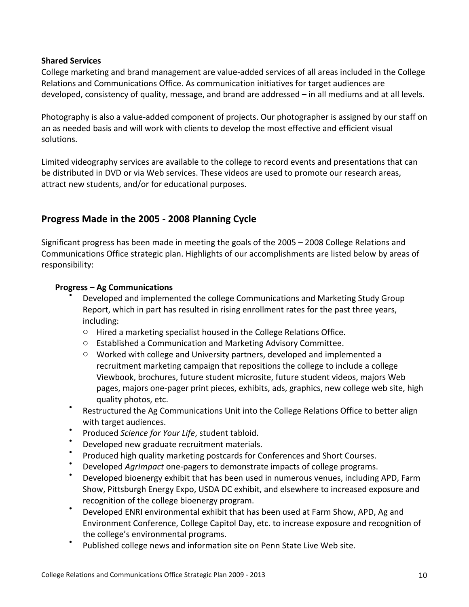#### **Shared
Services**

College marketing and brand management are value-added services of all areas included in the College Relations and Communications Office. As communication initiatives for target audiences are developed, consistency of quality, message, and brand are addressed – in all mediums and at all levels.

Photography is also a value-added component of projects. Our photographer is assigned by our staff on an as needed basis and will work with clients to develop the most effective and efficient visual solutions.

Limited videography services are available to the college to record events and presentations that can be distributed in DVD or via Web services. These videos are used to promote our research areas, attract
new
students,
and/or
for
educational
purposes.

# **Progress
Made
in
the
2005
‐
2008
Planning
Cycle**

Significant
progress
has
been
made
in
meeting
the
goals
of
the
2005
–
2008
College
Relations
and Communications Office strategic plan. Highlights of our accomplishments are listed below by areas of responsibility:

#### **Progress
– Ag
Communications**

- Developed and implemented the college Communications and Marketing Study Group Report, which in part has resulted in rising enrollment rates for the past three years, including:
	- Hired a marketing specialist housed in the College Relations Office.
	- Established a Communication and Marketing Advisory Committee.
	- Worked with college and University partners, developed and implemented a recruitment
	marketing
	campaign
	that
	repositions
	the
	college
	to
	include
	a
	college Viewbook,
	brochures,
	future
	student
	microsite,
	future
	student
	videos,
	majors
	Web pages,
	majors
	one‐pager
	print
	pieces,
	exhibits,
	ads,
	graphics,
	new
	college
	web
	site,
	high quality
	photos,
	etc.
- Restructured the Ag Communications Unit into the College Relations Office to better align with
target
audiences.
- Produced Science for Your Life, student tabloid.
- Developed new graduate recruitment materials.
- Produced high quality marketing postcards for Conferences and Short Courses.
- Developed *Agrimpact* one-pagers to demonstrate impacts of college programs.
- Developed bioenergy exhibit that has been used in numerous venues, including APD, Farm Show,
Pittsburgh
Energy
Expo,
USDA
DC
exhibit,
and
elsewhere
to
increased
exposure
and recognition of the college bioenergy program.
- Developed ENRI environmental exhibit that has been used at Farm Show, APD, Ag and Environment
Conference,
College
Capitol
Day,
etc.
to
increase
exposure
and
recognition
of the
college's
environmental
programs.
- Published college news and information site on Penn State Live Web site.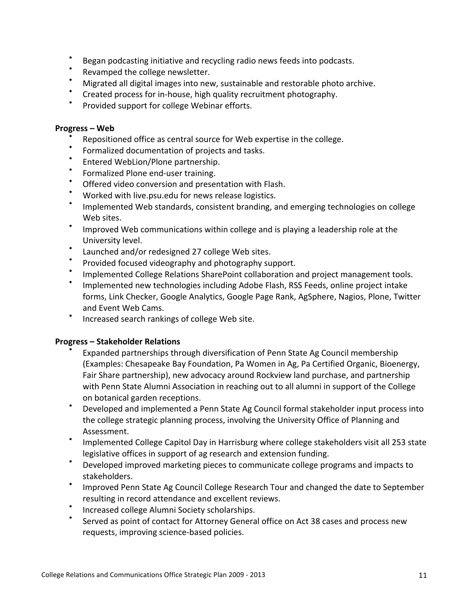- Began podcasting initiative and recycling radio news feeds into podcasts.
- Revamped the college newsletter.
- Migrated all digital images into new, sustainable and restorable photo archive.
- Created process for in-house, high quality recruitment photography.
- Provided support for college Webinar efforts.

#### **Progress – Web**

- Repositioned office as central source for Web expertise in the college.
- Formalized documentation of projects and tasks.
- Entered
WebLion/Plone
partnership.
- Formalized
Plone
end‐user
training.
- Offered video conversion and presentation with Flash.
- Worked with live.psu.edu for news release logistics.
- Implemented Web standards, consistent branding, and emerging technologies on college Web
sites.
- Improved Web communications within college and is playing a leadership role at the University
level.
- Launched
and/or
redesigned
27
college
Web
sites.
- Provided focused videography and photography support.
- Implemented College Relations SharePoint collaboration and project management tools.
- Implemented new technologies including Adobe Flash, RSS Feeds, online project intake forms,
Link
Checker,
Google
Analytics,
Google
Page
Rank,
AgSphere,
Nagios,
Plone,
Twitter and
Event
Web
Cams.
- Increased search rankings of college Web site.

#### **Progress – Stakeholder
Relations**

- Expanded partnerships through diversification of Penn State Ag Council membership (Examples:
Chesapeake
Bay
Foundation,
Pa
Women
in
Ag,
Pa
Certified
Organic,
Bioenergy, Fair
Share
partnership),
new
advocacy
around
Rockview
land
purchase,
and
partnership with Penn State Alumni Association in reaching out to all alumni in support of the College on
botanical
garden
receptions.
- Developed and implemented a Penn State Ag Council formal stakeholder input process into the
college
strategic
planning
process,
involving
the
University
Office
of
Planning
and Assessment.
- Implemented College Capitol Day in Harrisburg where college stakeholders visit all 253 state legislative offices in support of ag research and extension funding.
- Developed improved marketing pieces to communicate college programs and impacts to stakeholders.
- Improved Penn State Ag Council College Research Tour and changed the date to September resulting
in
record
attendance
and
excellent
reviews.
- Increased
college
Alumni
Society
scholarships.
- Served as point of contact for Attorney General office on Act 38 cases and process new requests,
improving
science‐based
policies.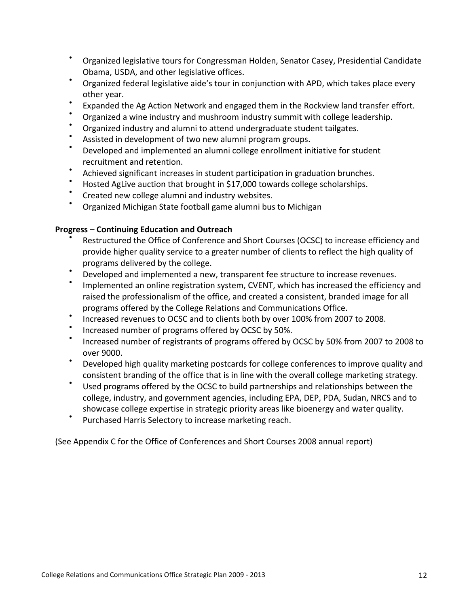- Organized legislative tours for Congressman Holden, Senator Casey, Presidential Candidate Obama,
USDA,
and
other
legislative
offices.
- Organized federal legislative aide's tour in conjunction with APD, which takes place every other
year.
- Expanded the Ag Action Network and engaged them in the Rockview land transfer effort.
- Organized a wine industry and mushroom industry summit with college leadership.
- Organized industry and alumni to attend undergraduate student tailgates.
- Assisted in development of two new alumni program groups.
- Developed and implemented an alumni college enrollment initiative for student recruitment
and
retention.
- Achieved significant increases in student participation in graduation brunches.
- Hosted AgLive auction that brought in \$17,000 towards college scholarships.
- Created new college alumni and industry websites.
- Organized Michigan State football game alumni bus to Michigan

#### **Progress – Continuing
Education
and
Outreach**

- Restructured the Office of Conference and Short Courses (OCSC) to increase efficiency and provide higher quality service to a greater number of clients to reflect the high quality of programs
delivered
by
the
college.
- Developed and implemented a new, transparent fee structure to increase revenues.
- Implemented an online registration system, CVENT, which has increased the efficiency and raised the professionalism of the office, and created a consistent, branded image for all programs
offered
by
the
College
Relations
and
Communications
Office.
- Increased revenues to OCSC and to clients both by over 100% from 2007 to 2008.
- Increased number of programs offered by OCSC by 50%.
- Increased number of registrants of programs offered by OCSC by 50% from 2007 to 2008 to over
9000.
- Developed high quality marketing postcards for college conferences to improve quality and consistent branding of the office that is in line with the overall college marketing strategy.
- Used programs offered by the OCSC to build partnerships and relationships between the college,
industry,
and
government
agencies, including
EPA,
DEP,
PDA,
Sudan,
NRCS and
to showcase college expertise in strategic priority areas like bioenergy and water quality.
- Purchased Harris Selectory to increase marketing reach.

(See
Appendix
C
for
the
Office
of
Conferences
and
Short
Courses
2008
annual
report)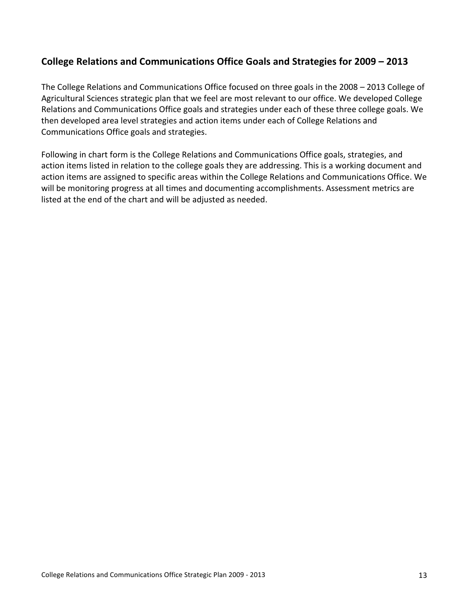# **College
Relations
and
Communications
Office
Goals
and
Strategies
for
2009
–
2013**

The College Relations and Communications Office focused on three goals in the 2008 - 2013 College of Agricultural Sciences strategic plan that we feel are most relevant to our office. We developed College Relations and Communications Office goals and strategies under each of these three college goals. We then developed area level strategies and action items under each of College Relations and Communications Office
goals
and
strategies.

Following in chart form is the College Relations and Communications Office goals, strategies, and action items listed in relation to the college goals they are addressing. This is a working document and action items are assigned to specific areas within the College Relations and Communications Office. We will be monitoring progress at all times and documenting accomplishments. Assessment metrics are listed at the end of the chart and will be adjusted as needed.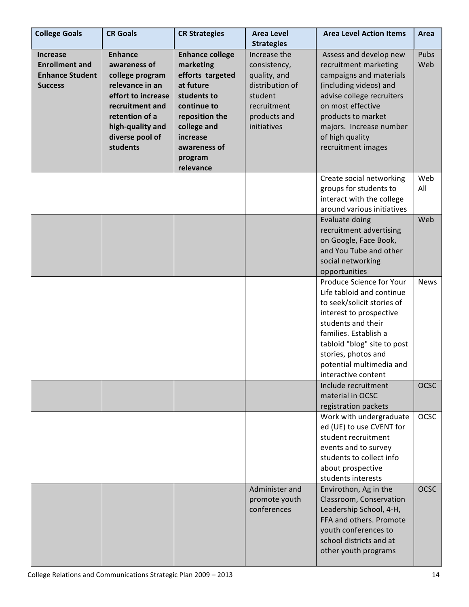| <b>College Goals</b>   | <b>CR Goals</b>    | <b>CR Strategies</b>   | <b>Area Level</b><br><b>Strategies</b> | <b>Area Level Action Items</b>                     | <b>Area</b> |
|------------------------|--------------------|------------------------|----------------------------------------|----------------------------------------------------|-------------|
| <b>Increase</b>        | <b>Enhance</b>     | <b>Enhance college</b> | Increase the                           | Assess and develop new                             | Pubs        |
| <b>Enrollment and</b>  | awareness of       | marketing              | consistency,                           | recruitment marketing                              | Web         |
| <b>Enhance Student</b> | college program    | efforts targeted       | quality, and                           | campaigns and materials                            |             |
| <b>Success</b>         | relevance in an    | at future              | distribution of                        | (including videos) and                             |             |
|                        | effort to increase | students to            | student                                | advise college recruiters                          |             |
|                        | recruitment and    | continue to            | recruitment                            | on most effective                                  |             |
|                        | retention of a     | reposition the         | products and                           | products to market                                 |             |
|                        | high-quality and   | college and            | initiatives                            | majors. Increase number                            |             |
|                        | diverse pool of    | increase               |                                        | of high quality                                    |             |
|                        | students           | awareness of           |                                        | recruitment images                                 |             |
|                        |                    | program                |                                        |                                                    |             |
|                        |                    | relevance              |                                        |                                                    |             |
|                        |                    |                        |                                        | Create social networking                           | Web         |
|                        |                    |                        |                                        | groups for students to                             | All         |
|                        |                    |                        |                                        | interact with the college                          |             |
|                        |                    |                        |                                        | around various initiatives                         |             |
|                        |                    |                        |                                        | Evaluate doing                                     | Web         |
|                        |                    |                        |                                        | recruitment advertising                            |             |
|                        |                    |                        |                                        | on Google, Face Book,                              |             |
|                        |                    |                        |                                        | and You Tube and other                             |             |
|                        |                    |                        |                                        | social networking                                  |             |
|                        |                    |                        |                                        | opportunities                                      |             |
|                        |                    |                        |                                        | Produce Science for Your                           | <b>News</b> |
|                        |                    |                        |                                        | Life tabloid and continue                          |             |
|                        |                    |                        |                                        | to seek/solicit stories of                         |             |
|                        |                    |                        |                                        | interest to prospective<br>students and their      |             |
|                        |                    |                        |                                        | families. Establish a                              |             |
|                        |                    |                        |                                        |                                                    |             |
|                        |                    |                        |                                        | tabloid "blog" site to post<br>stories, photos and |             |
|                        |                    |                        |                                        | potential multimedia and                           |             |
|                        |                    |                        |                                        | interactive content                                |             |
|                        |                    |                        |                                        | Include recruitment                                | <b>OCSC</b> |
|                        |                    |                        |                                        | material in OCSC                                   |             |
|                        |                    |                        |                                        | registration packets                               |             |
|                        |                    |                        |                                        | Work with undergraduate                            | <b>OCSC</b> |
|                        |                    |                        |                                        | ed (UE) to use CVENT for                           |             |
|                        |                    |                        |                                        | student recruitment                                |             |
|                        |                    |                        |                                        | events and to survey                               |             |
|                        |                    |                        |                                        | students to collect info                           |             |
|                        |                    |                        |                                        | about prospective                                  |             |
|                        |                    |                        |                                        | students interests                                 |             |
|                        |                    |                        | Administer and                         | Envirothon, Ag in the                              | <b>OCSC</b> |
|                        |                    |                        | promote youth                          | Classroom, Conservation                            |             |
|                        |                    |                        | conferences                            | Leadership School, 4-H,                            |             |
|                        |                    |                        |                                        | FFA and others. Promote                            |             |
|                        |                    |                        |                                        | youth conferences to                               |             |
|                        |                    |                        |                                        | school districts and at                            |             |
|                        |                    |                        |                                        | other youth programs                               |             |
|                        |                    |                        |                                        |                                                    |             |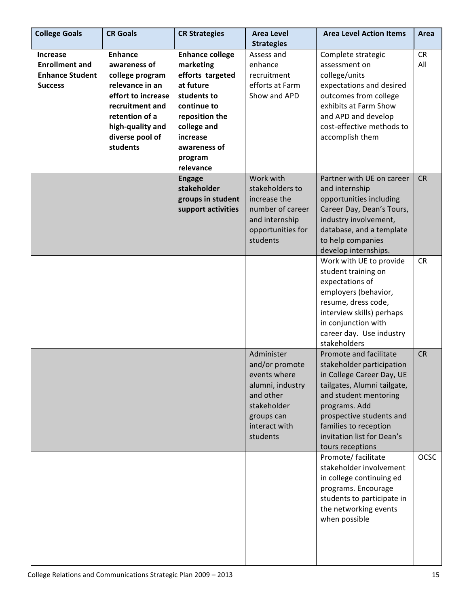| <b>College Goals</b>   | <b>CR Goals</b>    | <b>CR Strategies</b>   | <b>Area Level</b> | <b>Area Level Action Items</b> | Area        |
|------------------------|--------------------|------------------------|-------------------|--------------------------------|-------------|
|                        |                    |                        | <b>Strategies</b> |                                |             |
| <b>Increase</b>        | <b>Enhance</b>     | <b>Enhance college</b> | Assess and        | Complete strategic             | <b>CR</b>   |
| <b>Enrollment and</b>  | awareness of       | marketing              | enhance           | assessment on                  | All         |
| <b>Enhance Student</b> | college program    | efforts targeted       | recruitment       | college/units                  |             |
| <b>Success</b>         | relevance in an    | at future              | efforts at Farm   | expectations and desired       |             |
|                        | effort to increase | students to            | Show and APD      | outcomes from college          |             |
|                        | recruitment and    | continue to            |                   | exhibits at Farm Show          |             |
|                        | retention of a     | reposition the         |                   | and APD and develop            |             |
|                        | high-quality and   | college and            |                   | cost-effective methods to      |             |
|                        | diverse pool of    | increase               |                   | accomplish them                |             |
|                        | students           | awareness of           |                   |                                |             |
|                        |                    | program                |                   |                                |             |
|                        |                    | relevance              |                   |                                |             |
|                        |                    | <b>Engage</b>          | Work with         | Partner with UE on career      | <b>CR</b>   |
|                        |                    | stakeholder            | stakeholders to   | and internship                 |             |
|                        |                    | groups in student      | increase the      | opportunities including        |             |
|                        |                    | support activities     | number of career  | Career Day, Dean's Tours,      |             |
|                        |                    |                        | and internship    | industry involvement,          |             |
|                        |                    |                        | opportunities for | database, and a template       |             |
|                        |                    |                        | students          | to help companies              |             |
|                        |                    |                        |                   | develop internships.           |             |
|                        |                    |                        |                   | Work with UE to provide        | <b>CR</b>   |
|                        |                    |                        |                   | student training on            |             |
|                        |                    |                        |                   | expectations of                |             |
|                        |                    |                        |                   | employers (behavior,           |             |
|                        |                    |                        |                   | resume, dress code,            |             |
|                        |                    |                        |                   | interview skills) perhaps      |             |
|                        |                    |                        |                   | in conjunction with            |             |
|                        |                    |                        |                   | career day. Use industry       |             |
|                        |                    |                        |                   | stakeholders                   |             |
|                        |                    |                        | Administer        | Promote and facilitate         | <b>CR</b>   |
|                        |                    |                        | and/or promote    | stakeholder participation      |             |
|                        |                    |                        | events where      | in College Career Day, UE      |             |
|                        |                    |                        | alumni, industry  | tailgates, Alumni tailgate,    |             |
|                        |                    |                        | and other         | and student mentoring          |             |
|                        |                    |                        | stakeholder       | programs. Add                  |             |
|                        |                    |                        | groups can        | prospective students and       |             |
|                        |                    |                        | interact with     | families to reception          |             |
|                        |                    |                        | students          | invitation list for Dean's     |             |
|                        |                    |                        |                   | tours receptions               |             |
|                        |                    |                        |                   | Promote/ facilitate            | <b>OCSC</b> |
|                        |                    |                        |                   | stakeholder involvement        |             |
|                        |                    |                        |                   | in college continuing ed       |             |
|                        |                    |                        |                   | programs. Encourage            |             |
|                        |                    |                        |                   | students to participate in     |             |
|                        |                    |                        |                   | the networking events          |             |
|                        |                    |                        |                   | when possible                  |             |
|                        |                    |                        |                   |                                |             |
|                        |                    |                        |                   |                                |             |
|                        |                    |                        |                   |                                |             |
|                        |                    |                        |                   |                                |             |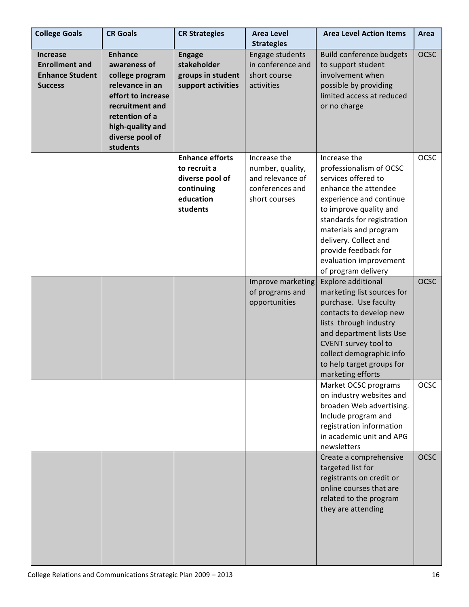| <b>College Goals</b>                                                                 | <b>CR Goals</b>                                                                                                                                                                    | <b>CR Strategies</b>                                                                             | <b>Area Level</b><br><b>Strategies</b>                                                   | <b>Area Level Action Items</b>                                                                                                                                                                                                                                                                       | Area        |
|--------------------------------------------------------------------------------------|------------------------------------------------------------------------------------------------------------------------------------------------------------------------------------|--------------------------------------------------------------------------------------------------|------------------------------------------------------------------------------------------|------------------------------------------------------------------------------------------------------------------------------------------------------------------------------------------------------------------------------------------------------------------------------------------------------|-------------|
| <b>Increase</b><br><b>Enrollment and</b><br><b>Enhance Student</b><br><b>Success</b> | <b>Enhance</b><br>awareness of<br>college program<br>relevance in an<br>effort to increase<br>recruitment and<br>retention of a<br>high-quality and<br>diverse pool of<br>students | <b>Engage</b><br>stakeholder<br>groups in student<br>support activities                          | Engage students<br>in conference and<br>short course<br>activities                       | <b>Build conference budgets</b><br>to support student<br>involvement when<br>possible by providing<br>limited access at reduced<br>or no charge                                                                                                                                                      | <b>OCSC</b> |
|                                                                                      |                                                                                                                                                                                    | <b>Enhance efforts</b><br>to recruit a<br>diverse pool of<br>continuing<br>education<br>students | Increase the<br>number, quality,<br>and relevance of<br>conferences and<br>short courses | Increase the<br>professionalism of OCSC<br>services offered to<br>enhance the attendee<br>experience and continue<br>to improve quality and<br>standards for registration<br>materials and program<br>delivery. Collect and<br>provide feedback for<br>evaluation improvement<br>of program delivery | <b>OCSC</b> |
|                                                                                      |                                                                                                                                                                                    |                                                                                                  | Improve marketing<br>of programs and<br>opportunities                                    | <b>Explore additional</b><br>marketing list sources for<br>purchase. Use faculty<br>contacts to develop new<br>lists through industry<br>and department lists Use<br>CVENT survey tool to<br>collect demographic info<br>to help target groups for<br>marketing efforts                              | <b>OCSC</b> |
|                                                                                      |                                                                                                                                                                                    |                                                                                                  |                                                                                          | Market OCSC programs<br>on industry websites and<br>broaden Web advertising.<br>Include program and<br>registration information<br>in academic unit and APG<br>newsletters                                                                                                                           | <b>OCSC</b> |
|                                                                                      |                                                                                                                                                                                    |                                                                                                  |                                                                                          | Create a comprehensive<br>targeted list for<br>registrants on credit or<br>online courses that are<br>related to the program<br>they are attending                                                                                                                                                   | <b>OCSC</b> |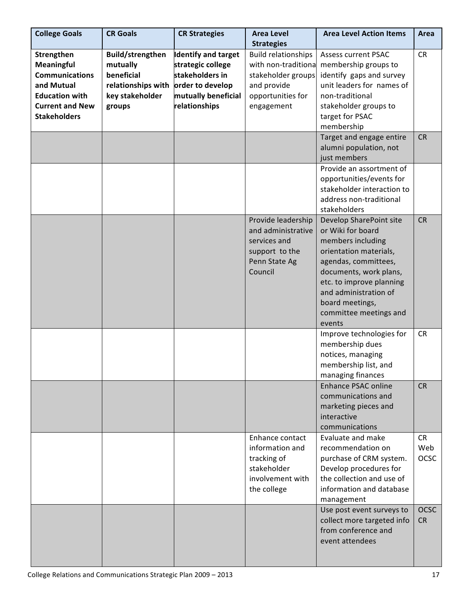| <b>College Goals</b>                                                                                                                      | <b>CR Goals</b>                                                                               | <b>CR Strategies</b>                                                                                                           | <b>Area Level</b><br><b>Strategies</b>                                                                                    | <b>Area Level Action Items</b>                                                                                                                                                                                                                            | Area                            |
|-------------------------------------------------------------------------------------------------------------------------------------------|-----------------------------------------------------------------------------------------------|--------------------------------------------------------------------------------------------------------------------------------|---------------------------------------------------------------------------------------------------------------------------|-----------------------------------------------------------------------------------------------------------------------------------------------------------------------------------------------------------------------------------------------------------|---------------------------------|
| Strengthen<br>Meaningful<br><b>Communications</b><br>and Mutual<br><b>Education with</b><br><b>Current and New</b><br><b>Stakeholders</b> | Build/strengthen<br>mutually<br>beneficial<br>relationships with<br>key stakeholder<br>groups | <b>Identify and target</b><br>strategic college<br>stakeholders in<br>order to develop<br>mutually beneficial<br>relationships | <b>Build relationships</b><br>with non-traditiona<br>stakeholder groups<br>and provide<br>opportunities for<br>engagement | <b>Assess current PSAC</b><br>membership groups to<br>identify gaps and survey<br>unit leaders for names of<br>non-traditional<br>stakeholder groups to<br>target for PSAC<br>membership                                                                  | <b>CR</b>                       |
|                                                                                                                                           |                                                                                               |                                                                                                                                |                                                                                                                           | Target and engage entire<br>alumni population, not<br>just members                                                                                                                                                                                        | <b>CR</b>                       |
|                                                                                                                                           |                                                                                               |                                                                                                                                |                                                                                                                           | Provide an assortment of<br>opportunities/events for<br>stakeholder interaction to<br>address non-traditional<br>stakeholders                                                                                                                             |                                 |
|                                                                                                                                           |                                                                                               |                                                                                                                                | Provide leadership<br>and administrative<br>services and<br>support to the<br>Penn State Ag<br>Council                    | Develop SharePoint site<br>or Wiki for board<br>members including<br>orientation materials,<br>agendas, committees,<br>documents, work plans,<br>etc. to improve planning<br>and administration of<br>board meetings,<br>committee meetings and<br>events | <b>CR</b>                       |
|                                                                                                                                           |                                                                                               |                                                                                                                                |                                                                                                                           | Improve technologies for<br>membership dues<br>notices, managing<br>membership list, and<br>managing finances                                                                                                                                             | <b>CR</b>                       |
|                                                                                                                                           |                                                                                               |                                                                                                                                |                                                                                                                           | <b>Enhance PSAC online</b><br>communications and<br>marketing pieces and<br>interactive<br>communications                                                                                                                                                 | <b>CR</b>                       |
|                                                                                                                                           |                                                                                               |                                                                                                                                | Enhance contact<br>information and<br>tracking of<br>stakeholder<br>involvement with<br>the college                       | Evaluate and make<br>recommendation on<br>purchase of CRM system.<br>Develop procedures for<br>the collection and use of<br>information and database<br>management                                                                                        | <b>CR</b><br>Web<br><b>OCSC</b> |
|                                                                                                                                           |                                                                                               |                                                                                                                                |                                                                                                                           | Use post event surveys to<br>collect more targeted info<br>from conference and<br>event attendees                                                                                                                                                         | <b>OCSC</b><br><b>CR</b>        |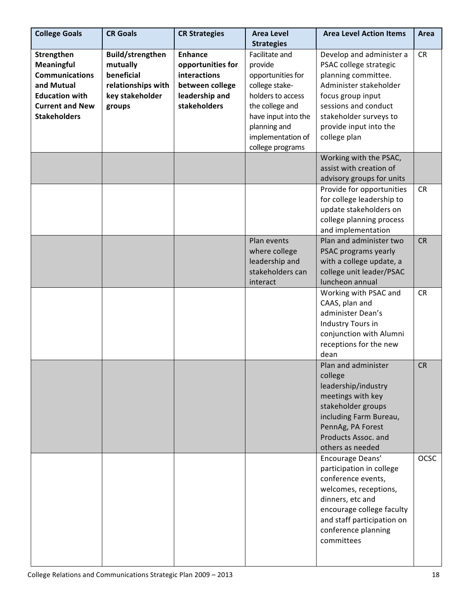| <b>College Goals</b>   | <b>CR Goals</b>        | <b>CR Strategies</b> | <b>Area Level</b><br><b>Strategies</b> | <b>Area Level Action Items</b> | Area        |
|------------------------|------------------------|----------------------|----------------------------------------|--------------------------------|-------------|
| Strengthen             | Build/strengthen       | <b>Enhance</b>       | Facilitate and                         | Develop and administer a       | <b>CR</b>   |
|                        |                        |                      |                                        |                                |             |
| Meaningful             | mutually<br>beneficial | opportunities for    | provide                                | PSAC college strategic         |             |
| <b>Communications</b>  |                        | interactions         | opportunities for                      | planning committee.            |             |
| and Mutual             | relationships with     | between college      | college stake-                         | Administer stakeholder         |             |
| <b>Education with</b>  | key stakeholder        | leadership and       | holders to access                      | focus group input              |             |
| <b>Current and New</b> | groups                 | stakeholders         | the college and                        | sessions and conduct           |             |
| <b>Stakeholders</b>    |                        |                      | have input into the                    | stakeholder surveys to         |             |
|                        |                        |                      | planning and                           | provide input into the         |             |
|                        |                        |                      | implementation of                      | college plan                   |             |
|                        |                        |                      | college programs                       |                                |             |
|                        |                        |                      |                                        | Working with the PSAC,         |             |
|                        |                        |                      |                                        | assist with creation of        |             |
|                        |                        |                      |                                        | advisory groups for units      |             |
|                        |                        |                      |                                        | Provide for opportunities      | <b>CR</b>   |
|                        |                        |                      |                                        | for college leadership to      |             |
|                        |                        |                      |                                        | update stakeholders on         |             |
|                        |                        |                      |                                        | college planning process       |             |
|                        |                        |                      |                                        | and implementation             |             |
|                        |                        |                      | Plan events                            | Plan and administer two        | <b>CR</b>   |
|                        |                        |                      | where college                          | PSAC programs yearly           |             |
|                        |                        |                      | leadership and                         | with a college update, a       |             |
|                        |                        |                      | stakeholders can                       | college unit leader/PSAC       |             |
|                        |                        |                      | interact                               | luncheon annual                |             |
|                        |                        |                      |                                        | Working with PSAC and          | <b>CR</b>   |
|                        |                        |                      |                                        | CAAS, plan and                 |             |
|                        |                        |                      |                                        | administer Dean's              |             |
|                        |                        |                      |                                        | Industry Tours in              |             |
|                        |                        |                      |                                        | conjunction with Alumni        |             |
|                        |                        |                      |                                        | receptions for the new         |             |
|                        |                        |                      |                                        |                                |             |
|                        |                        |                      |                                        | dean<br>Plan and administer    |             |
|                        |                        |                      |                                        |                                | <b>CR</b>   |
|                        |                        |                      |                                        | college                        |             |
|                        |                        |                      |                                        | leadership/industry            |             |
|                        |                        |                      |                                        | meetings with key              |             |
|                        |                        |                      |                                        | stakeholder groups             |             |
|                        |                        |                      |                                        | including Farm Bureau,         |             |
|                        |                        |                      |                                        | PennAg, PA Forest              |             |
|                        |                        |                      |                                        | Products Assoc. and            |             |
|                        |                        |                      |                                        | others as needed               |             |
|                        |                        |                      |                                        | Encourage Deans'               | <b>OCSC</b> |
|                        |                        |                      |                                        | participation in college       |             |
|                        |                        |                      |                                        | conference events,             |             |
|                        |                        |                      |                                        | welcomes, receptions,          |             |
|                        |                        |                      |                                        | dinners, etc and               |             |
|                        |                        |                      |                                        | encourage college faculty      |             |
|                        |                        |                      |                                        | and staff participation on     |             |
|                        |                        |                      |                                        | conference planning            |             |
|                        |                        |                      |                                        | committees                     |             |
|                        |                        |                      |                                        |                                |             |
|                        |                        |                      |                                        |                                |             |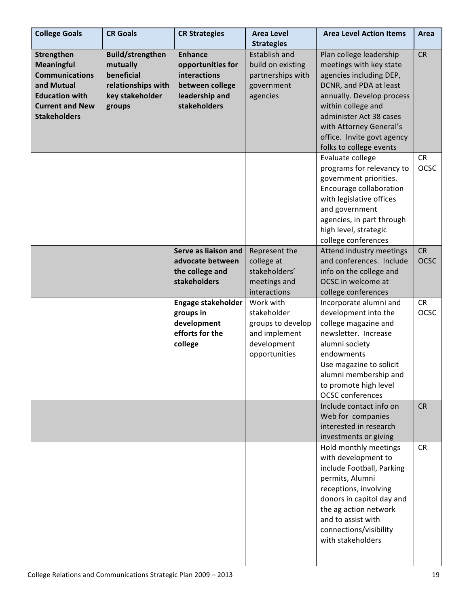| <b>College Goals</b>                                                                                                                      | <b>CR Goals</b>                                                                                      | <b>CR Strategies</b>                                                                                     | <b>Area Level</b><br><b>Strategies</b>                                                         | <b>Area Level Action Items</b>                                                                                                                                                                                                                                            | Area                     |
|-------------------------------------------------------------------------------------------------------------------------------------------|------------------------------------------------------------------------------------------------------|----------------------------------------------------------------------------------------------------------|------------------------------------------------------------------------------------------------|---------------------------------------------------------------------------------------------------------------------------------------------------------------------------------------------------------------------------------------------------------------------------|--------------------------|
| Strengthen<br>Meaningful<br><b>Communications</b><br>and Mutual<br><b>Education with</b><br><b>Current and New</b><br><b>Stakeholders</b> | <b>Build/strengthen</b><br>mutually<br>beneficial<br>relationships with<br>key stakeholder<br>groups | <b>Enhance</b><br>opportunities for<br>interactions<br>between college<br>leadership and<br>stakeholders | Establish and<br>build on existing<br>partnerships with<br>government<br>agencies              | Plan college leadership<br>meetings with key state<br>agencies including DEP,<br>DCNR, and PDA at least<br>annually. Develop process<br>within college and<br>administer Act 38 cases<br>with Attorney General's<br>office. Invite govt agency<br>folks to college events | <b>CR</b>                |
|                                                                                                                                           |                                                                                                      |                                                                                                          |                                                                                                | Evaluate college<br>programs for relevancy to<br>government priorities.<br>Encourage collaboration<br>with legislative offices<br>and government<br>agencies, in part through<br>high level, strategic<br>college conferences                                             | CR<br><b>OCSC</b>        |
|                                                                                                                                           |                                                                                                      | Serve as liaison and<br>advocate between<br>the college and<br>stakeholders                              | Represent the<br>college at<br>stakeholders'<br>meetings and<br>interactions                   | Attend industry meetings<br>and conferences. Include<br>info on the college and<br>OCSC in welcome at<br>college conferences                                                                                                                                              | <b>CR</b><br><b>OCSC</b> |
|                                                                                                                                           |                                                                                                      | <b>Engage stakeholder</b><br>groups in<br>development<br>efforts for the<br>college                      | Work with<br>stakeholder<br>groups to develop<br>and implement<br>development<br>opportunities | Incorporate alumni and<br>development into the<br>college magazine and<br>newsletter. Increase<br>alumni society<br>endowments<br>Use magazine to solicit<br>alumni membership and<br>to promote high level<br><b>OCSC</b> conferences                                    | <b>CR</b><br><b>OCSC</b> |
|                                                                                                                                           |                                                                                                      |                                                                                                          |                                                                                                | Include contact info on<br>Web for companies<br>interested in research<br>investments or giving                                                                                                                                                                           | <b>CR</b>                |
|                                                                                                                                           |                                                                                                      |                                                                                                          |                                                                                                | Hold monthly meetings<br>with development to<br>include Football, Parking<br>permits, Alumni<br>receptions, involving<br>donors in capitol day and<br>the ag action network<br>and to assist with<br>connections/visibility<br>with stakeholders                          | <b>CR</b>                |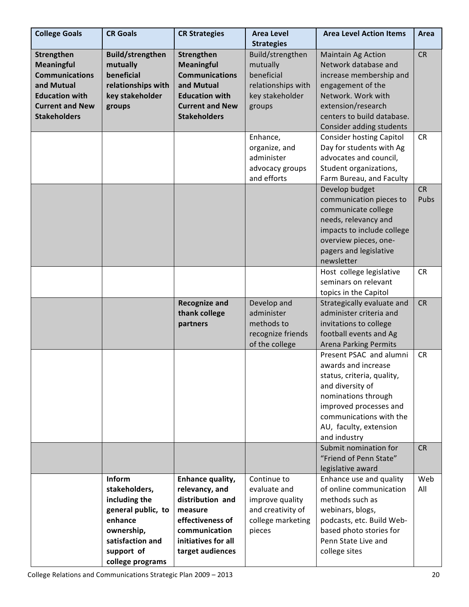| <b>College Goals</b>   | <b>CR Goals</b>         | <b>CR Strategies</b>                  | <b>Area Level</b><br><b>Strategies</b> | <b>Area Level Action Items</b>                        | Area      |
|------------------------|-------------------------|---------------------------------------|----------------------------------------|-------------------------------------------------------|-----------|
| Strengthen             | <b>Build/strengthen</b> | Strengthen                            | Build/strengthen                       | <b>Maintain Ag Action</b>                             | <b>CR</b> |
| <b>Meaningful</b>      | mutually                | <b>Meaningful</b>                     | mutually                               | Network database and                                  |           |
| <b>Communications</b>  | beneficial              | <b>Communications</b>                 | beneficial                             | increase membership and                               |           |
| and Mutual             | relationships with      | and Mutual                            | relationships with                     | engagement of the                                     |           |
| <b>Education with</b>  | key stakeholder         | <b>Education with</b>                 | key stakeholder                        | Network. Work with                                    |           |
| <b>Current and New</b> | groups                  | <b>Current and New</b>                | groups                                 | extension/research                                    |           |
| <b>Stakeholders</b>    |                         | <b>Stakeholders</b>                   |                                        | centers to build database.                            |           |
|                        |                         |                                       |                                        | Consider adding students                              |           |
|                        |                         |                                       | Enhance,                               | <b>Consider hosting Capitol</b>                       | <b>CR</b> |
|                        |                         |                                       | organize, and                          | Day for students with Ag                              |           |
|                        |                         |                                       | administer                             | advocates and council,                                |           |
|                        |                         |                                       | advocacy groups                        | Student organizations,                                |           |
|                        |                         |                                       | and efforts                            | Farm Bureau, and Faculty                              |           |
|                        |                         |                                       |                                        |                                                       | <b>CR</b> |
|                        |                         |                                       |                                        | Develop budget<br>communication pieces to             | Pubs      |
|                        |                         |                                       |                                        | communicate college                                   |           |
|                        |                         |                                       |                                        | needs, relevancy and                                  |           |
|                        |                         |                                       |                                        | impacts to include college                            |           |
|                        |                         |                                       |                                        | overview pieces, one-                                 |           |
|                        |                         |                                       |                                        | pagers and legislative                                |           |
|                        |                         |                                       |                                        | newsletter                                            |           |
|                        |                         |                                       |                                        | Host college legislative                              | <b>CR</b> |
|                        |                         |                                       |                                        | seminars on relevant                                  |           |
|                        |                         |                                       |                                        |                                                       |           |
|                        |                         |                                       |                                        | topics in the Capitol                                 | <b>CR</b> |
|                        |                         | <b>Recognize and</b><br>thank college | Develop and<br>administer              | Strategically evaluate and<br>administer criteria and |           |
|                        |                         |                                       | methods to                             |                                                       |           |
|                        |                         | partners                              | recognize friends                      | invitations to college<br>football events and Ag      |           |
|                        |                         |                                       | of the college                         | <b>Arena Parking Permits</b>                          |           |
|                        |                         |                                       |                                        | Present PSAC and alumni                               | <b>CR</b> |
|                        |                         |                                       |                                        | awards and increase                                   |           |
|                        |                         |                                       |                                        | status, criteria, quality,                            |           |
|                        |                         |                                       |                                        | and diversity of                                      |           |
|                        |                         |                                       |                                        | nominations through                                   |           |
|                        |                         |                                       |                                        | improved processes and                                |           |
|                        |                         |                                       |                                        | communications with the                               |           |
|                        |                         |                                       |                                        | AU, faculty, extension                                |           |
|                        |                         |                                       |                                        | and industry                                          |           |
|                        |                         |                                       |                                        | Submit nomination for                                 | <b>CR</b> |
|                        |                         |                                       |                                        | "Friend of Penn State"                                |           |
|                        |                         |                                       |                                        | legislative award                                     |           |
|                        | Inform                  | Enhance quality,                      | Continue to                            | Enhance use and quality                               | Web       |
|                        | stakeholders,           | relevancy, and                        | evaluate and                           | of online communication                               | All       |
|                        | including the           | distribution and                      | improve quality                        | methods such as                                       |           |
|                        | general public, to      | measure                               | and creativity of                      | webinars, blogs,                                      |           |
|                        | enhance                 | effectiveness of                      | college marketing                      | podcasts, etc. Build Web-                             |           |
|                        | ownership,              | communication                         | pieces                                 | based photo stories for                               |           |
|                        | satisfaction and        | initiatives for all                   |                                        | Penn State Live and                                   |           |
|                        |                         |                                       |                                        |                                                       |           |
|                        | support of              | target audiences                      |                                        | college sites                                         |           |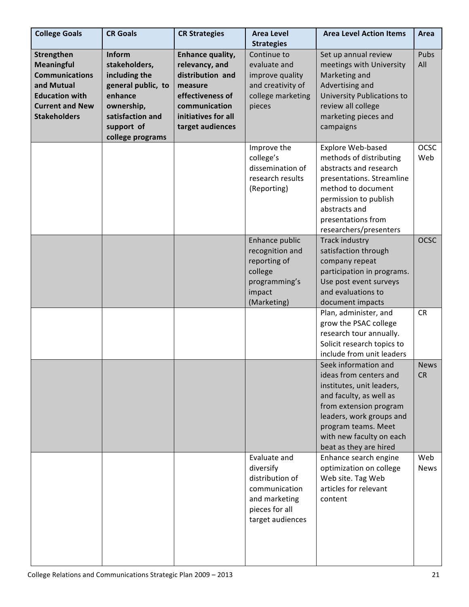| <b>College Goals</b>                                                                                                                             | <b>CR Goals</b>                                                                                                                               | <b>CR Strategies</b>                                                                                                                              | <b>Area Level</b><br><b>Strategies</b>                                                                               | <b>Area Level Action Items</b>                                                                                                                                                                                                            | Area                     |
|--------------------------------------------------------------------------------------------------------------------------------------------------|-----------------------------------------------------------------------------------------------------------------------------------------------|---------------------------------------------------------------------------------------------------------------------------------------------------|----------------------------------------------------------------------------------------------------------------------|-------------------------------------------------------------------------------------------------------------------------------------------------------------------------------------------------------------------------------------------|--------------------------|
| Strengthen<br><b>Meaningful</b><br><b>Communications</b><br>and Mutual<br><b>Education with</b><br><b>Current and New</b><br><b>Stakeholders</b> | Inform<br>stakeholders,<br>including the<br>general public, to<br>enhance<br>ownership,<br>satisfaction and<br>support of<br>college programs | Enhance quality,<br>relevancy, and<br>distribution and<br>measure<br>effectiveness of<br>communication<br>initiatives for all<br>target audiences | Continue to<br>evaluate and<br>improve quality<br>and creativity of<br>college marketing<br>pieces                   | Set up annual review<br>meetings with University<br>Marketing and<br>Advertising and<br>University Publications to<br>review all college<br>marketing pieces and<br>campaigns                                                             | Pubs<br>All              |
|                                                                                                                                                  |                                                                                                                                               |                                                                                                                                                   | Improve the<br>college's<br>dissemination of<br>research results<br>(Reporting)                                      | Explore Web-based<br>methods of distributing<br>abstracts and research<br>presentations. Streamline<br>method to document<br>permission to publish<br>abstracts and<br>presentations from<br>researchers/presenters                       | <b>OCSC</b><br>Web       |
|                                                                                                                                                  |                                                                                                                                               |                                                                                                                                                   | Enhance public<br>recognition and<br>reporting of<br>college<br>programming's<br>impact<br>(Marketing)               | Track industry<br>satisfaction through<br>company repeat<br>participation in programs.<br>Use post event surveys<br>and evaluations to<br>document impacts                                                                                | <b>OCSC</b>              |
|                                                                                                                                                  |                                                                                                                                               |                                                                                                                                                   |                                                                                                                      | Plan, administer, and<br>grow the PSAC college<br>research tour annually.<br>Solicit research topics to<br>include from unit leaders                                                                                                      | <b>CR</b>                |
|                                                                                                                                                  |                                                                                                                                               |                                                                                                                                                   |                                                                                                                      | Seek information and<br>ideas from centers and<br>institutes, unit leaders,<br>and faculty, as well as<br>from extension program<br>leaders, work groups and<br>program teams. Meet<br>with new faculty on each<br>beat as they are hired | <b>News</b><br><b>CR</b> |
|                                                                                                                                                  |                                                                                                                                               |                                                                                                                                                   | Evaluate and<br>diversify<br>distribution of<br>communication<br>and marketing<br>pieces for all<br>target audiences | Enhance search engine<br>optimization on college<br>Web site. Tag Web<br>articles for relevant<br>content                                                                                                                                 | Web<br>News              |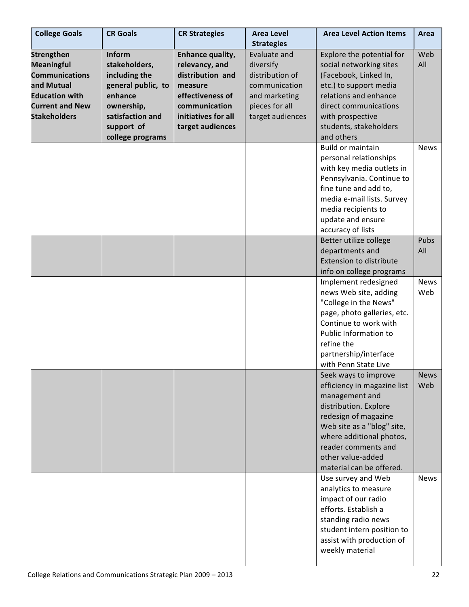| <b>College Goals</b>   | <b>CR Goals</b>    | <b>CR Strategies</b> | <b>Area Level</b> | <b>Area Level Action Items</b>                                                                                                                                                                                                                           | Area               |
|------------------------|--------------------|----------------------|-------------------|----------------------------------------------------------------------------------------------------------------------------------------------------------------------------------------------------------------------------------------------------------|--------------------|
|                        |                    |                      | <b>Strategies</b> |                                                                                                                                                                                                                                                          |                    |
| <b>Strengthen</b>      | Inform             | Enhance quality,     | Evaluate and      | Explore the potential for                                                                                                                                                                                                                                | Web                |
| <b>Meaningful</b>      | stakeholders,      | relevancy, and       | diversify         | social networking sites                                                                                                                                                                                                                                  | All                |
| <b>Communications</b>  | including the      | distribution and     | distribution of   | (Facebook, Linked In,                                                                                                                                                                                                                                    |                    |
| and Mutual             | general public, to | measure              | communication     | etc.) to support media                                                                                                                                                                                                                                   |                    |
| <b>Education with</b>  | enhance            | effectiveness of     | and marketing     | relations and enhance                                                                                                                                                                                                                                    |                    |
| <b>Current and New</b> | ownership,         | communication        | pieces for all    | direct communications                                                                                                                                                                                                                                    |                    |
| <b>Stakeholders</b>    | satisfaction and   | initiatives for all  | target audiences  | with prospective                                                                                                                                                                                                                                         |                    |
|                        | support of         | target audiences     |                   | students, stakeholders                                                                                                                                                                                                                                   |                    |
|                        | college programs   |                      |                   | and others                                                                                                                                                                                                                                               |                    |
|                        |                    |                      |                   | <b>Build or maintain</b><br>personal relationships<br>with key media outlets in<br>Pennsylvania. Continue to<br>fine tune and add to,<br>media e-mail lists. Survey<br>media recipients to<br>update and ensure                                          | <b>News</b>        |
|                        |                    |                      |                   | accuracy of lists                                                                                                                                                                                                                                        |                    |
|                        |                    |                      |                   | Better utilize college<br>departments and<br><b>Extension to distribute</b><br>info on college programs                                                                                                                                                  | <b>Pubs</b><br>All |
|                        |                    |                      |                   | Implement redesigned                                                                                                                                                                                                                                     | <b>News</b>        |
|                        |                    |                      |                   | news Web site, adding<br>"College in the News"<br>page, photo galleries, etc.<br>Continue to work with<br>Public Information to<br>refine the<br>partnership/interface<br>with Penn State Live                                                           | Web                |
|                        |                    |                      |                   | Seek ways to improve<br>efficiency in magazine list<br>management and<br>distribution. Explore<br>redesign of magazine<br>Web site as a "blog" site,<br>where additional photos,<br>reader comments and<br>other value-added<br>material can be offered. | <b>News</b><br>Web |
|                        |                    |                      |                   | Use survey and Web<br>analytics to measure<br>impact of our radio<br>efforts. Establish a<br>standing radio news<br>student intern position to<br>assist with production of<br>weekly material                                                           | <b>News</b>        |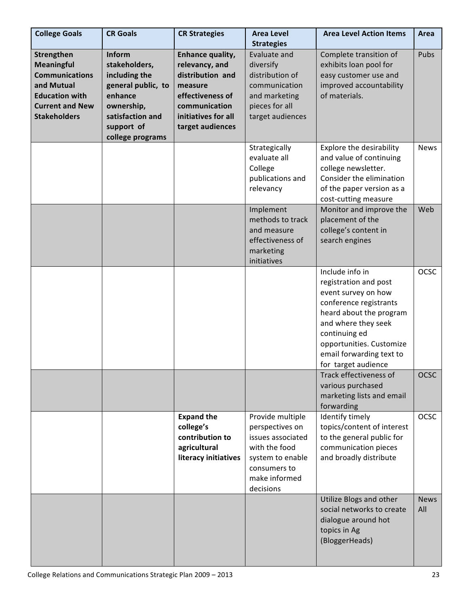| <b>College Goals</b>                                                                                                                             | <b>CR Goals</b>                                                                                                                               | <b>CR Strategies</b>                                                                                                                              | <b>Area Level</b><br><b>Strategies</b>                                                                                                      | <b>Area Level Action Items</b>                                                                                                                                                                                                              | Area               |
|--------------------------------------------------------------------------------------------------------------------------------------------------|-----------------------------------------------------------------------------------------------------------------------------------------------|---------------------------------------------------------------------------------------------------------------------------------------------------|---------------------------------------------------------------------------------------------------------------------------------------------|---------------------------------------------------------------------------------------------------------------------------------------------------------------------------------------------------------------------------------------------|--------------------|
| Strengthen<br><b>Meaningful</b><br><b>Communications</b><br>and Mutual<br><b>Education with</b><br><b>Current and New</b><br><b>Stakeholders</b> | Inform<br>stakeholders,<br>including the<br>general public, to<br>enhance<br>ownership,<br>satisfaction and<br>support of<br>college programs | Enhance quality,<br>relevancy, and<br>distribution and<br>measure<br>effectiveness of<br>communication<br>initiatives for all<br>target audiences | Evaluate and<br>diversify<br>distribution of<br>communication<br>and marketing<br>pieces for all<br>target audiences                        | Complete transition of<br>exhibits loan pool for<br>easy customer use and<br>improved accountability<br>of materials.                                                                                                                       | Pubs               |
|                                                                                                                                                  |                                                                                                                                               |                                                                                                                                                   | Strategically<br>evaluate all<br>College<br>publications and<br>relevancy                                                                   | Explore the desirability<br>and value of continuing<br>college newsletter.<br>Consider the elimination<br>of the paper version as a<br>cost-cutting measure                                                                                 | <b>News</b>        |
|                                                                                                                                                  |                                                                                                                                               |                                                                                                                                                   | Implement<br>methods to track<br>and measure<br>effectiveness of<br>marketing<br>initiatives                                                | Monitor and improve the<br>placement of the<br>college's content in<br>search engines                                                                                                                                                       | Web                |
|                                                                                                                                                  |                                                                                                                                               |                                                                                                                                                   |                                                                                                                                             | Include info in<br>registration and post<br>event survey on how<br>conference registrants<br>heard about the program<br>and where they seek<br>continuing ed<br>opportunities. Customize<br>email forwarding text to<br>for target audience | <b>OCSC</b>        |
|                                                                                                                                                  |                                                                                                                                               |                                                                                                                                                   |                                                                                                                                             | Track effectiveness of<br>various purchased<br>marketing lists and email<br>forwarding                                                                                                                                                      | <b>OCSC</b>        |
|                                                                                                                                                  |                                                                                                                                               | <b>Expand the</b><br>college's<br>contribution to<br>agricultural<br>literacy initiatives                                                         | Provide multiple<br>perspectives on<br>issues associated<br>with the food<br>system to enable<br>consumers to<br>make informed<br>decisions | Identify timely<br>topics/content of interest<br>to the general public for<br>communication pieces<br>and broadly distribute                                                                                                                | <b>OCSC</b>        |
|                                                                                                                                                  |                                                                                                                                               |                                                                                                                                                   |                                                                                                                                             | Utilize Blogs and other<br>social networks to create<br>dialogue around hot<br>topics in Ag<br>(BloggerHeads)                                                                                                                               | <b>News</b><br>All |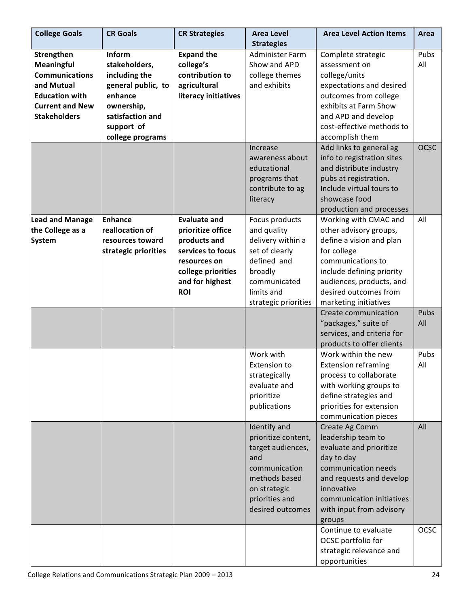| <b>College Goals</b>                                                                                                                      | <b>CR Goals</b>                                                                                             | <b>CR Strategies</b>                                                                      | <b>Area Level</b>                                                                                                                                       | <b>Area Level Action Items</b>                                                                                                                                                                                                            | Area               |
|-------------------------------------------------------------------------------------------------------------------------------------------|-------------------------------------------------------------------------------------------------------------|-------------------------------------------------------------------------------------------|---------------------------------------------------------------------------------------------------------------------------------------------------------|-------------------------------------------------------------------------------------------------------------------------------------------------------------------------------------------------------------------------------------------|--------------------|
|                                                                                                                                           |                                                                                                             |                                                                                           | <b>Strategies</b>                                                                                                                                       |                                                                                                                                                                                                                                           |                    |
| Strengthen<br>Meaningful<br><b>Communications</b><br>and Mutual<br><b>Education with</b><br><b>Current and New</b><br><b>Stakeholders</b> | Inform<br>stakeholders,<br>including the<br>general public, to<br>enhance<br>ownership,<br>satisfaction and | <b>Expand the</b><br>college's<br>contribution to<br>agricultural<br>literacy initiatives | <b>Administer Farm</b><br>Show and APD<br>college themes<br>and exhibits                                                                                | Complete strategic<br>assessment on<br>college/units<br>expectations and desired<br>outcomes from college<br>exhibits at Farm Show<br>and APD and develop                                                                                 | Pubs<br>All        |
|                                                                                                                                           | support of<br>college programs                                                                              |                                                                                           |                                                                                                                                                         | cost-effective methods to<br>accomplish them                                                                                                                                                                                              |                    |
|                                                                                                                                           |                                                                                                             |                                                                                           | Increase<br>awareness about<br>educational<br>programs that<br>contribute to ag<br>literacy                                                             | Add links to general ag<br>info to registration sites<br>and distribute industry<br>pubs at registration.<br>Include virtual tours to<br>showcase food<br>production and processes                                                        | <b>OCSC</b>        |
| Lead and Manage<br>the College as a<br><b>System</b>                                                                                      | <b>Enhance</b><br>reallocation of<br>resources toward<br>strategic priorities                               | <b>Evaluate and</b><br>prioritize office<br>products and<br>services to focus             | Focus products<br>and quality<br>delivery within a<br>set of clearly                                                                                    | Working with CMAC and<br>other advisory groups,<br>define a vision and plan<br>for college                                                                                                                                                | All                |
|                                                                                                                                           |                                                                                                             | resources on<br>college priorities<br>and for highest<br><b>ROI</b>                       | defined and<br>broadly<br>communicated<br>limits and<br>strategic priorities                                                                            | communications to<br>include defining priority<br>audiences, products, and<br>desired outcomes from<br>marketing initiatives                                                                                                              |                    |
|                                                                                                                                           |                                                                                                             |                                                                                           |                                                                                                                                                         | Create communication<br>"packages," suite of<br>services, and criteria for<br>products to offer clients                                                                                                                                   | Pubs<br>All        |
|                                                                                                                                           |                                                                                                             |                                                                                           | Work with<br><b>Extension to</b><br>strategically<br>evaluate and<br>prioritize<br>publications                                                         | Work within the new<br><b>Extension reframing</b><br>process to collaborate<br>with working groups to<br>define strategies and<br>priorities for extension<br>communication pieces                                                        | Pubs<br>All        |
|                                                                                                                                           |                                                                                                             |                                                                                           | Identify and<br>prioritize content,<br>target audiences,<br>and<br>communication<br>methods based<br>on strategic<br>priorities and<br>desired outcomes | Create Ag Comm<br>leadership team to<br>evaluate and prioritize<br>day to day<br>communication needs<br>and requests and develop<br>innovative<br>communication initiatives<br>with input from advisory<br>groups<br>Continue to evaluate | All<br><b>OCSC</b> |
|                                                                                                                                           |                                                                                                             |                                                                                           |                                                                                                                                                         | OCSC portfolio for<br>strategic relevance and<br>opportunities                                                                                                                                                                            |                    |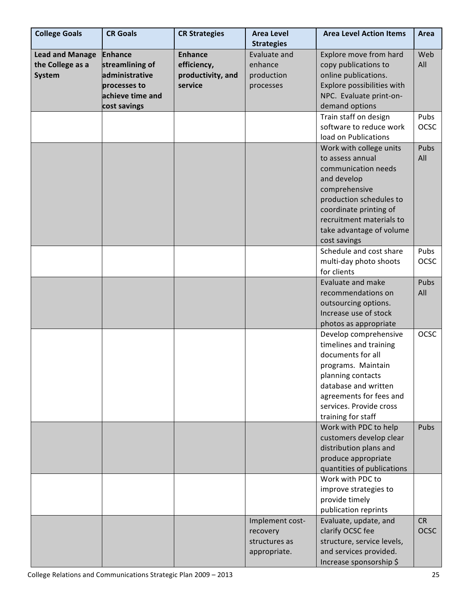| <b>College Goals</b>              | <b>CR Goals</b>                                                                       | <b>CR Strategies</b>                        | <b>Area Level Action Items</b><br><b>Area Level</b>          |                                                                                                                                                                                                                                 | Area                     |
|-----------------------------------|---------------------------------------------------------------------------------------|---------------------------------------------|--------------------------------------------------------------|---------------------------------------------------------------------------------------------------------------------------------------------------------------------------------------------------------------------------------|--------------------------|
| <b>Lead and Manage</b>            | <b>Enhance</b>                                                                        | <b>Enhance</b>                              | <b>Strategies</b><br>Evaluate and                            | Explore move from hard                                                                                                                                                                                                          | Web                      |
| the College as a<br><b>System</b> | streamlining of<br>administrative<br>processes to<br>achieve time and<br>cost savings | efficiency,<br>productivity, and<br>service | enhance<br>production<br>processes                           | copy publications to<br>online publications.<br>Explore possibilities with<br>NPC. Evaluate print-on-<br>demand options                                                                                                         | All                      |
|                                   |                                                                                       |                                             |                                                              | Train staff on design<br>software to reduce work<br>load on Publications                                                                                                                                                        | Pubs<br><b>OCSC</b>      |
|                                   |                                                                                       |                                             |                                                              | Work with college units<br>to assess annual<br>communication needs<br>and develop<br>comprehensive<br>production schedules to<br>coordinate printing of<br>recruitment materials to<br>take advantage of volume<br>cost savings | Pubs<br>All              |
|                                   |                                                                                       |                                             |                                                              | Schedule and cost share<br>multi-day photo shoots<br>for clients                                                                                                                                                                | Pubs<br><b>OCSC</b>      |
|                                   |                                                                                       |                                             |                                                              | <b>Evaluate and make</b><br>recommendations on<br>outsourcing options.<br>Increase use of stock<br>photos as appropriate                                                                                                        | Pubs<br>All              |
|                                   |                                                                                       |                                             |                                                              | Develop comprehensive<br>timelines and training<br>documents for all<br>programs. Maintain<br>planning contacts<br>database and written<br>agreements for fees and<br>services. Provide cross<br>training for staff             | <b>OCSC</b>              |
|                                   |                                                                                       |                                             |                                                              | Work with PDC to help<br>customers develop clear<br>distribution plans and<br>produce appropriate<br>quantities of publications                                                                                                 | Pubs                     |
|                                   |                                                                                       |                                             |                                                              | Work with PDC to<br>improve strategies to<br>provide timely<br>publication reprints                                                                                                                                             |                          |
|                                   |                                                                                       |                                             | Implement cost-<br>recovery<br>structures as<br>appropriate. | Evaluate, update, and<br>clarify OCSC fee<br>structure, service levels,<br>and services provided.<br>Increase sponsorship \$                                                                                                    | <b>CR</b><br><b>OCSC</b> |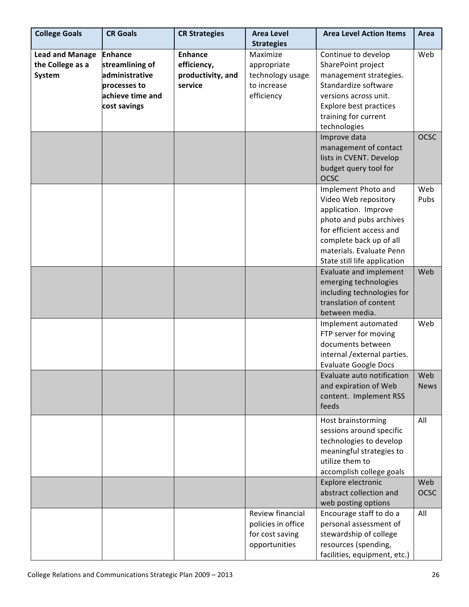| <b>College Goals</b>   | <b>CR Goals</b>  | <b>CR Strategies</b> | <b>Area Level</b>  | <b>Area Level Action Items</b> | Area        |
|------------------------|------------------|----------------------|--------------------|--------------------------------|-------------|
|                        |                  |                      | <b>Strategies</b>  |                                |             |
| <b>Lead and Manage</b> | <b>Enhance</b>   | <b>Enhance</b>       | Maximize           | Continue to develop            | Web         |
| the College as a       | streamlining of  | efficiency,          | appropriate        | SharePoint project             |             |
| System                 | administrative   | productivity, and    | technology usage   | management strategies.         |             |
|                        | processes to     | service              | to increase        | Standardize software           |             |
|                        | achieve time and |                      | efficiency         | versions across unit.          |             |
|                        | cost savings     |                      |                    | Explore best practices         |             |
|                        |                  |                      |                    | training for current           |             |
|                        |                  |                      |                    | technologies                   |             |
|                        |                  |                      |                    | Improve data                   | <b>OCSC</b> |
|                        |                  |                      |                    | management of contact          |             |
|                        |                  |                      |                    | lists in CVENT. Develop        |             |
|                        |                  |                      |                    | budget query tool for          |             |
|                        |                  |                      |                    | <b>OCSC</b>                    |             |
|                        |                  |                      |                    | Implement Photo and            | Web         |
|                        |                  |                      |                    | Video Web repository           | Pubs        |
|                        |                  |                      |                    | application. Improve           |             |
|                        |                  |                      |                    | photo and pubs archives        |             |
|                        |                  |                      |                    | for efficient access and       |             |
|                        |                  |                      |                    | complete back up of all        |             |
|                        |                  |                      |                    | materials. Evaluate Penn       |             |
|                        |                  |                      |                    | State still life application   |             |
|                        |                  |                      |                    | Evaluate and implement         | Web         |
|                        |                  |                      |                    | emerging technologies          |             |
|                        |                  |                      |                    | including technologies for     |             |
|                        |                  |                      |                    | translation of content         |             |
|                        |                  |                      |                    | between media.                 |             |
|                        |                  |                      |                    | Implement automated            | Web         |
|                        |                  |                      |                    | FTP server for moving          |             |
|                        |                  |                      |                    | documents between              |             |
|                        |                  |                      |                    | internal / external parties.   |             |
|                        |                  |                      |                    | <b>Evaluate Google Docs</b>    |             |
|                        |                  |                      |                    | Evaluate auto notification     | Web         |
|                        |                  |                      |                    | and expiration of Web          | <b>News</b> |
|                        |                  |                      |                    | content. Implement RSS         |             |
|                        |                  |                      |                    | feeds                          |             |
|                        |                  |                      |                    |                                |             |
|                        |                  |                      |                    | Host brainstorming             | All         |
|                        |                  |                      |                    | sessions around specific       |             |
|                        |                  |                      |                    | technologies to develop        |             |
|                        |                  |                      |                    | meaningful strategies to       |             |
|                        |                  |                      |                    | utilize them to                |             |
|                        |                  |                      |                    | accomplish college goals       |             |
|                        |                  |                      |                    | Explore electronic             | Web         |
|                        |                  |                      |                    | abstract collection and        | <b>OCSC</b> |
|                        |                  |                      |                    | web posting options            |             |
|                        |                  |                      | Review financial   | Encourage staff to do a        | All         |
|                        |                  |                      | policies in office | personal assessment of         |             |
|                        |                  |                      | for cost saving    | stewardship of college         |             |
|                        |                  |                      | opportunities      | resources (spending,           |             |
|                        |                  |                      |                    | facilities, equipment, etc.)   |             |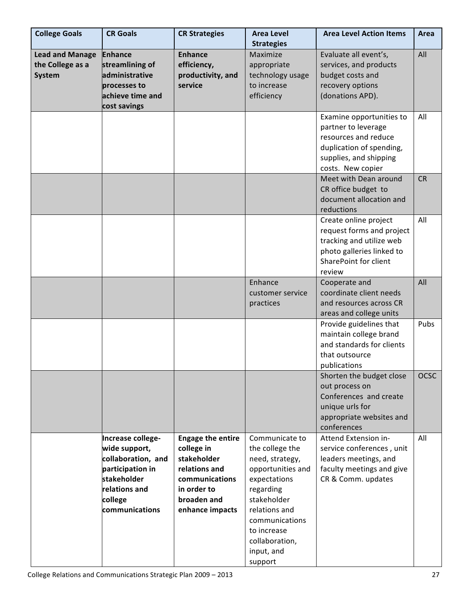| <b>College Goals</b>                                        | <b>CR Goals</b>                                                                                                                           | <b>CR Strategies</b>                                                                                                                      | <b>Area Level Action Items</b><br><b>Area Level</b><br><b>Strategies</b>                                                                                                                                           |                                                                                                                                                    | Area        |
|-------------------------------------------------------------|-------------------------------------------------------------------------------------------------------------------------------------------|-------------------------------------------------------------------------------------------------------------------------------------------|--------------------------------------------------------------------------------------------------------------------------------------------------------------------------------------------------------------------|----------------------------------------------------------------------------------------------------------------------------------------------------|-------------|
| <b>Lead and Manage</b><br>the College as a<br><b>System</b> | <b>Enhance</b><br>streamlining of<br>administrative<br>processes to<br>achieve time and<br>cost savings                                   | <b>Enhance</b><br>efficiency,<br>productivity, and<br>service                                                                             | Maximize<br>appropriate<br>technology usage<br>to increase<br>efficiency                                                                                                                                           | Evaluate all event's,<br>services, and products<br>budget costs and<br>recovery options<br>(donations APD).                                        | All         |
|                                                             |                                                                                                                                           |                                                                                                                                           |                                                                                                                                                                                                                    | Examine opportunities to<br>partner to leverage<br>resources and reduce<br>duplication of spending,<br>supplies, and shipping<br>costs. New copier | All         |
|                                                             |                                                                                                                                           |                                                                                                                                           |                                                                                                                                                                                                                    | Meet with Dean around<br>CR office budget to<br>document allocation and<br>reductions                                                              | <b>CR</b>   |
|                                                             |                                                                                                                                           |                                                                                                                                           |                                                                                                                                                                                                                    | Create online project<br>request forms and project<br>tracking and utilize web<br>photo galleries linked to<br>SharePoint for client<br>review     | All         |
|                                                             |                                                                                                                                           |                                                                                                                                           | Enhance<br>customer service<br>practices                                                                                                                                                                           | Cooperate and<br>coordinate client needs<br>and resources across CR<br>areas and college units                                                     | All         |
|                                                             |                                                                                                                                           |                                                                                                                                           |                                                                                                                                                                                                                    | Provide guidelines that<br>maintain college brand<br>and standards for clients<br>that outsource<br>publications                                   | Pubs        |
|                                                             |                                                                                                                                           |                                                                                                                                           |                                                                                                                                                                                                                    | Shorten the budget close<br>out process on<br>Conferences and create<br>unique urls for<br>appropriate websites and<br>conferences                 | <b>OCSC</b> |
|                                                             | Increase college-<br>wide support,<br>collaboration, and<br>participation in<br>stakeholder<br>relations and<br>college<br>communications | <b>Engage the entire</b><br>college in<br>stakeholder<br>relations and<br>communications<br>in order to<br>broaden and<br>enhance impacts | Communicate to<br>the college the<br>need, strategy,<br>opportunities and<br>expectations<br>regarding<br>stakeholder<br>relations and<br>communications<br>to increase<br>collaboration,<br>input, and<br>support | Attend Extension in-<br>service conferences, unit<br>leaders meetings, and<br>faculty meetings and give<br>CR & Comm. updates                      | All         |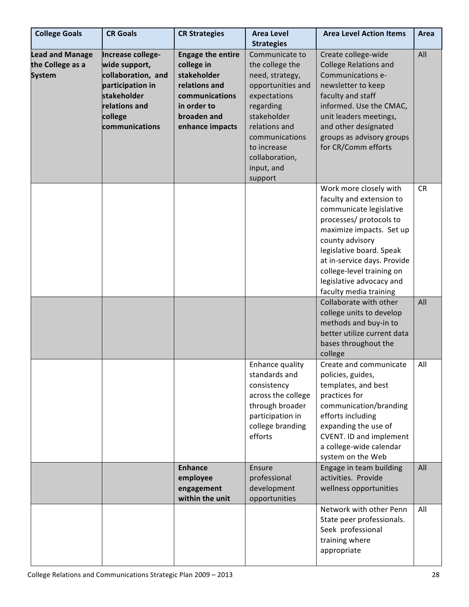| <b>College Goals</b>                                        | <b>CR Goals</b>                                          | <b>CR Strategies</b>                                  | <b>Area Level</b>                                    | <b>Area Level Action Items</b>                                           | Area      |
|-------------------------------------------------------------|----------------------------------------------------------|-------------------------------------------------------|------------------------------------------------------|--------------------------------------------------------------------------|-----------|
|                                                             |                                                          |                                                       | <b>Strategies</b>                                    |                                                                          |           |
| <b>Lead and Manage</b><br>the College as a<br><b>System</b> | Increase college-<br>wide support,<br>collaboration, and | <b>Engage the entire</b><br>college in<br>stakeholder | Communicate to<br>the college the<br>need, strategy, | Create college-wide<br><b>College Relations and</b><br>Communications e- | All       |
|                                                             | participation in                                         | relations and                                         | opportunities and                                    | newsletter to keep                                                       |           |
|                                                             | stakeholder                                              | communications                                        | expectations                                         | faculty and staff                                                        |           |
|                                                             | relations and                                            | in order to                                           | regarding                                            | informed. Use the CMAC,                                                  |           |
|                                                             | college                                                  | broaden and                                           | stakeholder                                          | unit leaders meetings,                                                   |           |
|                                                             | communications                                           | enhance impacts                                       | relations and                                        | and other designated                                                     |           |
|                                                             |                                                          |                                                       | communications                                       | groups as advisory groups                                                |           |
|                                                             |                                                          |                                                       | to increase                                          | for CR/Comm efforts                                                      |           |
|                                                             |                                                          |                                                       | collaboration,                                       |                                                                          |           |
|                                                             |                                                          |                                                       | input, and                                           |                                                                          |           |
|                                                             |                                                          |                                                       | support                                              | Work more closely with                                                   | <b>CR</b> |
|                                                             |                                                          |                                                       |                                                      | faculty and extension to                                                 |           |
|                                                             |                                                          |                                                       |                                                      | communicate legislative                                                  |           |
|                                                             |                                                          |                                                       |                                                      | processes/ protocols to                                                  |           |
|                                                             |                                                          |                                                       |                                                      | maximize impacts. Set up                                                 |           |
|                                                             |                                                          |                                                       |                                                      | county advisory                                                          |           |
|                                                             |                                                          |                                                       |                                                      | legislative board. Speak<br>at in-service days. Provide                  |           |
|                                                             |                                                          |                                                       |                                                      | college-level training on                                                |           |
|                                                             |                                                          |                                                       |                                                      | legislative advocacy and                                                 |           |
|                                                             |                                                          |                                                       |                                                      | faculty media training                                                   |           |
|                                                             |                                                          |                                                       |                                                      | Collaborate with other                                                   | All       |
|                                                             |                                                          |                                                       |                                                      | college units to develop                                                 |           |
|                                                             |                                                          |                                                       |                                                      | methods and buy-in to                                                    |           |
|                                                             |                                                          |                                                       |                                                      | better utilize current data                                              |           |
|                                                             |                                                          |                                                       |                                                      | bases throughout the                                                     |           |
|                                                             |                                                          |                                                       | Enhance quality                                      | college<br>Create and communicate                                        | All       |
|                                                             |                                                          |                                                       | standards and                                        | policies, guides,                                                        |           |
|                                                             |                                                          |                                                       | consistency                                          | templates, and best                                                      |           |
|                                                             |                                                          |                                                       | across the college                                   | practices for                                                            |           |
|                                                             |                                                          |                                                       | through broader                                      | communication/branding                                                   |           |
|                                                             |                                                          |                                                       | participation in                                     | efforts including                                                        |           |
|                                                             |                                                          |                                                       | college branding                                     | expanding the use of                                                     |           |
|                                                             |                                                          |                                                       | efforts                                              | <b>CVENT. ID and implement</b>                                           |           |
|                                                             |                                                          |                                                       |                                                      | a college-wide calendar                                                  |           |
|                                                             |                                                          | <b>Enhance</b>                                        | Ensure                                               | system on the Web<br>Engage in team building                             | All       |
|                                                             |                                                          | employee                                              | professional                                         | activities. Provide                                                      |           |
|                                                             |                                                          | engagement                                            | development                                          | wellness opportunities                                                   |           |
|                                                             |                                                          | within the unit                                       | opportunities                                        |                                                                          |           |
|                                                             |                                                          |                                                       |                                                      | Network with other Penn                                                  | All       |
|                                                             |                                                          |                                                       |                                                      | State peer professionals.                                                |           |
|                                                             |                                                          |                                                       |                                                      | Seek professional                                                        |           |
|                                                             |                                                          |                                                       |                                                      | training where                                                           |           |
|                                                             |                                                          |                                                       |                                                      | appropriate                                                              |           |
|                                                             |                                                          |                                                       |                                                      |                                                                          |           |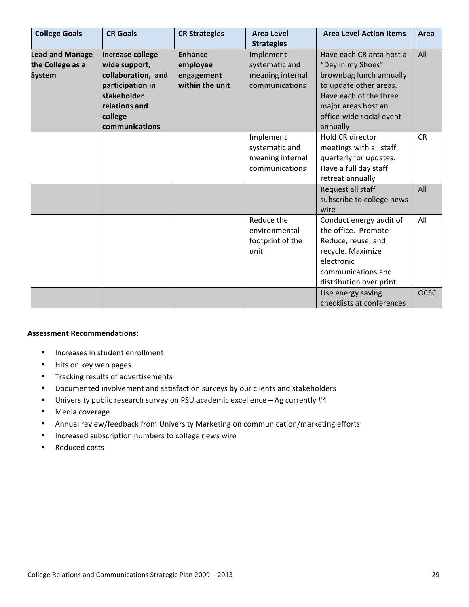| <b>College Goals</b>                                        | <b>CR Goals</b>                                                                                                                           | <b>CR Strategies</b>                                        | <b>Area Level</b><br><b>Strategies</b>                            | <b>Area Level Action Items</b>                                                                                                                                                              | Area             |
|-------------------------------------------------------------|-------------------------------------------------------------------------------------------------------------------------------------------|-------------------------------------------------------------|-------------------------------------------------------------------|---------------------------------------------------------------------------------------------------------------------------------------------------------------------------------------------|------------------|
| <b>Lead and Manage</b><br>the College as a<br><b>System</b> | Increase college-<br>wide support,<br>collaboration, and<br>participation in<br>stakeholder<br>relations and<br>college<br>communications | <b>Enhance</b><br>employee<br>engagement<br>within the unit | Implement<br>systematic and<br>meaning internal<br>communications | Have each CR area host a<br>"Day in my Shoes"<br>brownbag lunch annually<br>to update other areas.<br>Have each of the three<br>major areas host an<br>office-wide social event<br>annually | All              |
|                                                             |                                                                                                                                           |                                                             | Implement<br>systematic and<br>meaning internal<br>communications | Hold CR director<br>meetings with all staff<br>quarterly for updates.<br>Have a full day staff<br>retreat annually<br>Request all staff<br>subscribe to college news<br>wire                | <b>CR</b><br>All |
|                                                             |                                                                                                                                           |                                                             | Reduce the<br>environmental<br>footprint of the<br>unit           | Conduct energy audit of<br>the office. Promote<br>Reduce, reuse, and<br>recycle. Maximize<br>electronic<br>communications and<br>distribution over print                                    | All              |
|                                                             |                                                                                                                                           |                                                             |                                                                   | Use energy saving<br>checklists at conferences                                                                                                                                              | <b>OCSC</b>      |

#### **Assessment
Recommendations:**

- Increases in student enrollment
- Hits on key web pages
- Tracking
results
of
advertisements
- Documented involvement and satisfaction surveys by our clients and stakeholders
- University public research survey on PSU academic excellence Ag currently #4
- Media
coverage
- Annual review/feedback from University Marketing on communication/marketing efforts
- Increased
subscription
numbers
to
college
news
wire
- Reduced
costs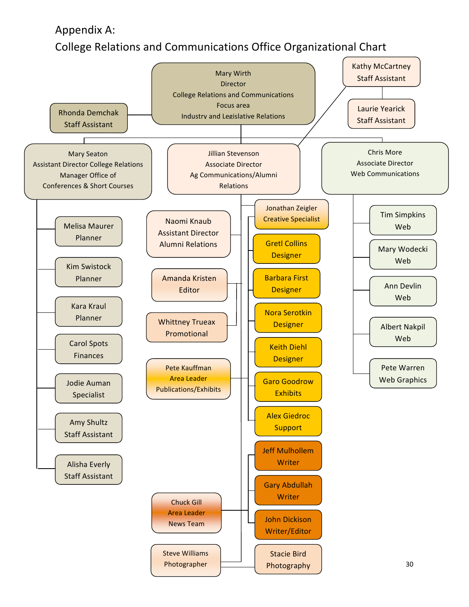Appendix
A:

# College
Relations
and
Communications
Office Organizational
Chart

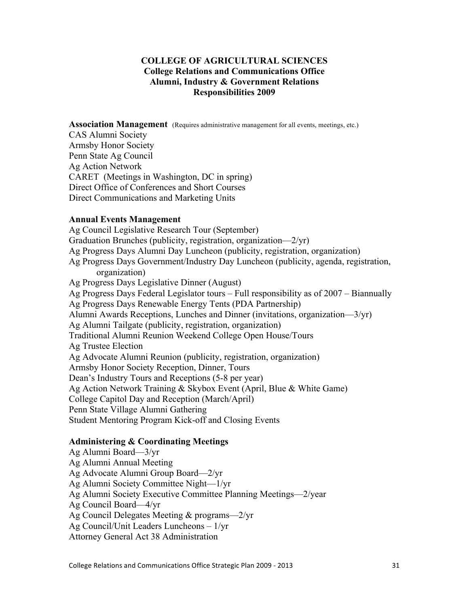#### **COLLEGE OF AGRICULTURAL SCIENCES College Relations and Communications Office Alumni, Industry & Government Relations Responsibilities 2009**

**Association Management** (Requires administrative management for all events, meetings, etc.)

CAS Alumni Society Armsby Honor Society Penn State Ag Council Ag Action Network CARET (Meetings in Washington, DC in spring) Direct Office of Conferences and Short Courses Direct Communications and Marketing Units

#### **Annual Events Management**

Ag Council Legislative Research Tour (September) Graduation Brunches (publicity, registration, organization—2/yr) Ag Progress Days Alumni Day Luncheon (publicity, registration, organization) Ag Progress Days Government/Industry Day Luncheon (publicity, agenda, registration, organization) Ag Progress Days Legislative Dinner (August) Ag Progress Days Federal Legislator tours – Full responsibility as of 2007 – Biannually Ag Progress Days Renewable Energy Tents (PDA Partnership) Alumni Awards Receptions, Lunches and Dinner (invitations, organization—3/yr) Ag Alumni Tailgate (publicity, registration, organization) Traditional Alumni Reunion Weekend College Open House/Tours Ag Trustee Election Ag Advocate Alumni Reunion (publicity, registration, organization) Armsby Honor Society Reception, Dinner, Tours Dean's Industry Tours and Receptions (5-8 per year) Ag Action Network Training & Skybox Event (April, Blue & White Game) College Capitol Day and Reception (March/April) Penn State Village Alumni Gathering Student Mentoring Program Kick-off and Closing Events

#### **Administering & Coordinating Meetings**

Ag Alumni Board—3/yr Ag Alumni Annual Meeting Ag Advocate Alumni Group Board—2/yr Ag Alumni Society Committee Night—1/yr Ag Alumni Society Executive Committee Planning Meetings—2/year Ag Council Board—4/yr Ag Council Delegates Meeting & programs—2/yr Ag Council/Unit Leaders Luncheons – 1/yr Attorney General Act 38 Administration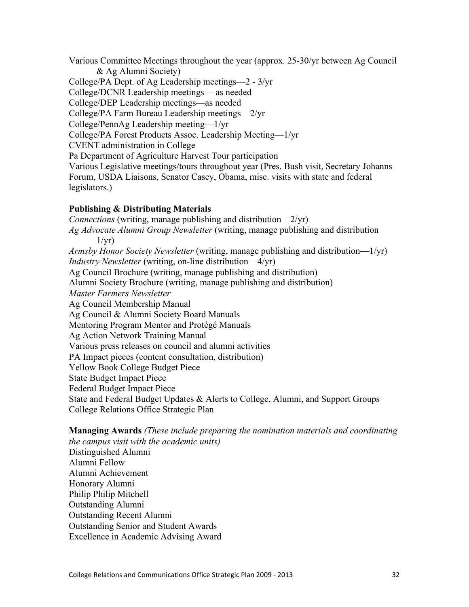Various Committee Meetings throughout the year (approx. 25-30/yr between Ag Council & Ag Alumni Society)

College/PA Dept. of Ag Leadership meetings—2 - 3/yr College/DCNR Leadership meetings— as needed College/DEP Leadership meetings—as needed College/PA Farm Bureau Leadership meetings—2/yr College/PennAg Leadership meeting—1/yr College/PA Forest Products Assoc. Leadership Meeting—1/yr CVENT administration in College Pa Department of Agriculture Harvest Tour participation Various Legislative meetings/tours throughout year (Pres. Bush visit, Secretary Johanns Forum, USDA Liaisons, Senator Casey, Obama, misc. visits with state and federal legislators.)

#### **Publishing & Distributing Materials**

*Connections* (writing, manage publishing and distribution—2/yr) *Ag Advocate Alumni Group Newsletter* (writing, manage publishing and distribution  $1/yr$ ) *Armsby Honor Society Newsletter* (writing, manage publishing and distribution—1/yr) *Industry Newsletter* (writing, on-line distribution—4/yr) Ag Council Brochure (writing, manage publishing and distribution) Alumni Society Brochure (writing, manage publishing and distribution) *Master Farmers Newsletter* Ag Council Membership Manual Ag Council & Alumni Society Board Manuals Mentoring Program Mentor and Protégé Manuals Ag Action Network Training Manual Various press releases on council and alumni activities PA Impact pieces (content consultation, distribution) Yellow Book College Budget Piece State Budget Impact Piece Federal Budget Impact Piece State and Federal Budget Updates & Alerts to College, Alumni, and Support Groups College Relations Office Strategic Plan

**Managing Awards** *(These include preparing the nomination materials and coordinating the campus visit with the academic units)* Distinguished Alumni Alumni Fellow Alumni Achievement Honorary Alumni Philip Philip Mitchell Outstanding Alumni Outstanding Recent Alumni Outstanding Senior and Student Awards Excellence in Academic Advising Award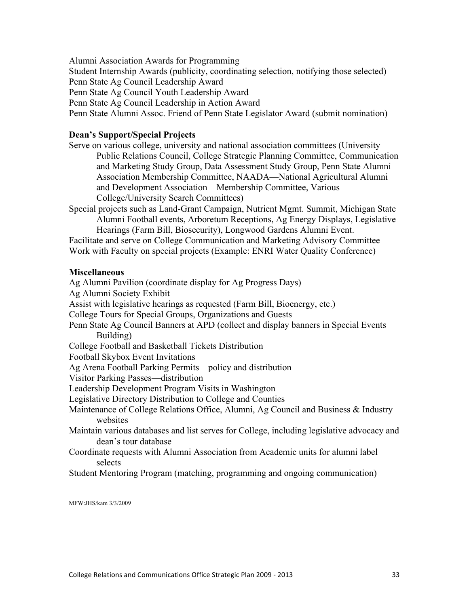Alumni Association Awards for Programming

Student Internship Awards (publicity, coordinating selection, notifying those selected)

Penn State Ag Council Leadership Award

Penn State Ag Council Youth Leadership Award

Penn State Ag Council Leadership in Action Award

Penn State Alumni Assoc. Friend of Penn State Legislator Award (submit nomination)

#### **Dean's Support/Special Projects**

Serve on various college, university and national association committees (University Public Relations Council, College Strategic Planning Committee, Communication and Marketing Study Group, Data Assessment Study Group, Penn State Alumni Association Membership Committee, NAADA—National Agricultural Alumni and Development Association—Membership Committee, Various College/University Search Committees)

Special projects such as Land-Grant Campaign, Nutrient Mgmt. Summit, Michigan State Alumni Football events, Arboretum Receptions, Ag Energy Displays, Legislative Hearings (Farm Bill, Biosecurity), Longwood Gardens Alumni Event.

Facilitate and serve on College Communication and Marketing Advisory Committee Work with Faculty on special projects (Example: ENRI Water Quality Conference)

#### **Miscellaneous**

Ag Alumni Pavilion (coordinate display for Ag Progress Days) Ag Alumni Society Exhibit Assist with legislative hearings as requested (Farm Bill, Bioenergy, etc.) College Tours for Special Groups, Organizations and Guests Penn State Ag Council Banners at APD (collect and display banners in Special Events Building) College Football and Basketball Tickets Distribution Football Skybox Event Invitations Ag Arena Football Parking Permits—policy and distribution Visitor Parking Passes—distribution Leadership Development Program Visits in Washington Legislative Directory Distribution to College and Counties Maintenance of College Relations Office, Alumni, Ag Council and Business & Industry websites Maintain various databases and list serves for College, including legislative advocacy and dean's tour database Coordinate requests with Alumni Association from Academic units for alumni label selects

Student Mentoring Program (matching, programming and ongoing communication)

MFW:JHS/kam 3/3/2009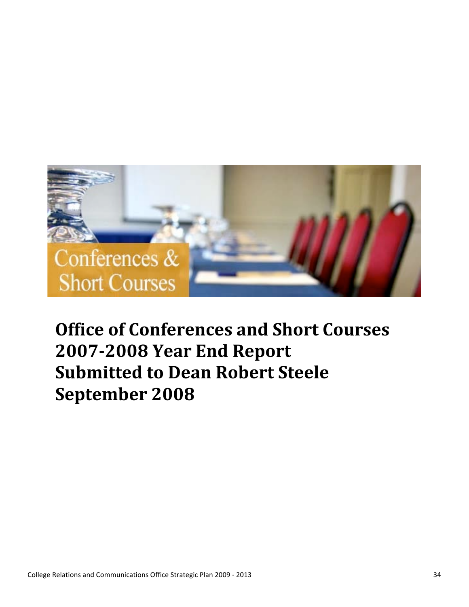

# **Office
of
Conferences
and
Short
Courses 2007-2008 Year End Report Submitted
to
Dean
Robert
Steele September
2008**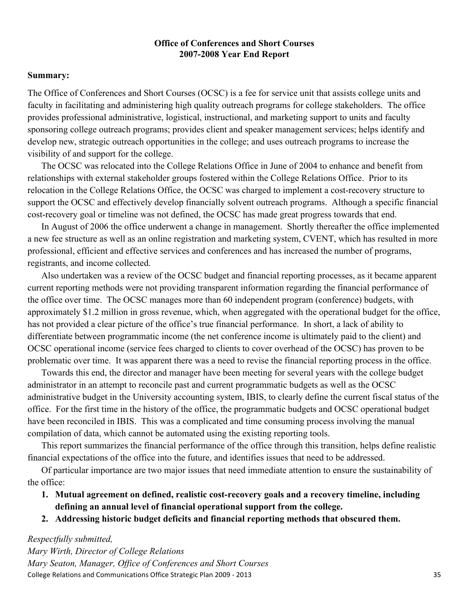#### **Office of Conferences and Short Courses 2007-2008 Year End Report**

#### **Summary:**

The Office of Conferences and Short Courses (OCSC) is a fee for service unit that assists college units and faculty in facilitating and administering high quality outreach programs for college stakeholders. The office provides professional administrative, logistical, instructional, and marketing support to units and faculty sponsoring college outreach programs; provides client and speaker management services; helps identify and develop new, strategic outreach opportunities in the college; and uses outreach programs to increase the visibility of and support for the college.

The OCSC was relocated into the College Relations Office in June of 2004 to enhance and benefit from relationships with external stakeholder groups fostered within the College Relations Office. Prior to its relocation in the College Relations Office, the OCSC was charged to implement a cost-recovery structure to support the OCSC and effectively develop financially solvent outreach programs. Although a specific financial cost-recovery goal or timeline was not defined, the OCSC has made great progress towards that end.

In August of 2006 the office underwent a change in management. Shortly thereafter the office implemented a new fee structure as well as an online registration and marketing system, CVENT, which has resulted in more professional, efficient and effective services and conferences and has increased the number of programs, registrants, and income collected.

Also undertaken was a review of the OCSC budget and financial reporting processes, as it became apparent current reporting methods were not providing transparent information regarding the financial performance of the office over time. The OCSC manages more than 60 independent program (conference) budgets, with approximately \$1.2 million in gross revenue, which, when aggregated with the operational budget for the office, has not provided a clear picture of the office's true financial performance. In short, a lack of ability to differentiate between programmatic income (the net conference income is ultimately paid to the client) and OCSC operational income (service fees charged to clients to cover overhead of the OCSC) has proven to be problematic over time. It was apparent there was a need to revise the financial reporting process in the office.

Towards this end, the director and manager have been meeting for several years with the college budget administrator in an attempt to reconcile past and current programmatic budgets as well as the OCSC administrative budget in the University accounting system, IBIS, to clearly define the current fiscal status of the office. For the first time in the history of the office, the programmatic budgets and OCSC operational budget have been reconciled in IBIS. This was a complicated and time consuming process involving the manual compilation of data, which cannot be automated using the existing reporting tools.

This report summarizes the financial performance of the office through this transition, helps define realistic financial expectations of the office into the future, and identifies issues that need to be addressed.

Of particular importance are two major issues that need immediate attention to ensure the sustainability of the office:

- **1. Mutual agreement on defined, realistic cost-recovery goals and a recovery timeline, including defining an annual level of financial operational support from the college.**
- **2. Addressing historic budget deficits and financial reporting methods that obscured them.**

#### *Respectfully submitted,*

College
Relations
and
Communications
Office
Strategic
Plan
2009
‐
2013 35 *Mary Wirth, Director of College Relations Mary Seaton, Manager, Office of Conferences and Short Courses*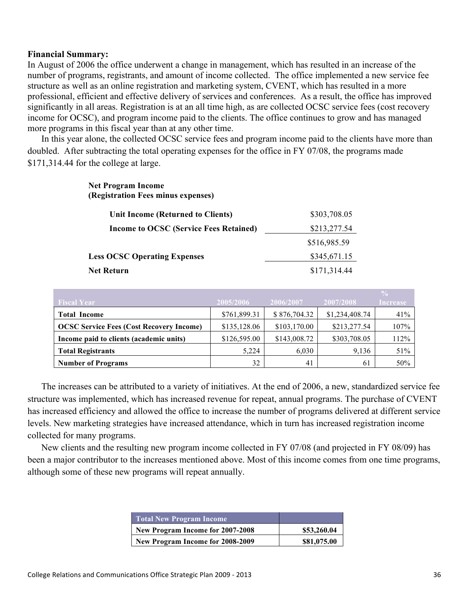#### **Financial Summary:**

In August of 2006 the office underwent a change in management, which has resulted in an increase of the number of programs, registrants, and amount of income collected. The office implemented a new service fee structure as well as an online registration and marketing system, CVENT, which has resulted in a more professional, efficient and effective delivery of services and conferences. As a result, the office has improved significantly in all areas. Registration is at an all time high, as are collected OCSC service fees (cost recovery income for OCSC), and program income paid to the clients. The office continues to grow and has managed more programs in this fiscal year than at any other time.

In this year alone, the collected OCSC service fees and program income paid to the clients have more than doubled. After subtracting the total operating expenses for the office in FY 07/08, the programs made \$171,314.44 for the college at large.

#### **Net Program Income (Registration Fees minus expenses)**

| Unit Income (Returned to Clients)             | \$303,708.05 |
|-----------------------------------------------|--------------|
| <b>Income to OCSC (Service Fees Retained)</b> | \$213,277.54 |
|                                               | \$516,985.59 |
| <b>Less OCSC Operating Expenses</b>           | \$345,671.15 |
| Net Return                                    | \$171,314.44 |

| <b>Fiscal Year</b>                              | 2005/2006    | 2006/2007    | 2007/2008      | $\frac{9}{2}$<br><b>Increase</b> |
|-------------------------------------------------|--------------|--------------|----------------|----------------------------------|
| <b>Total Income</b>                             | \$761,899.31 | \$876,704.32 | \$1,234,408.74 | 41%                              |
| <b>OCSC Service Fees (Cost Recovery Income)</b> | \$135,128.06 | \$103,170.00 | \$213,277.54   | 107%                             |
| Income paid to clients (academic units)         | \$126,595.00 | \$143,008.72 | \$303,708.05   | 112%                             |
| <b>Total Registrants</b>                        | 5,224        | 6,030        | 9,136          | 51%                              |
| <b>Number of Programs</b>                       | 32           | 41           | 61             | 50%                              |

The increases can be attributed to a variety of initiatives. At the end of 2006, a new, standardized service fee structure was implemented, which has increased revenue for repeat, annual programs. The purchase of CVENT has increased efficiency and allowed the office to increase the number of programs delivered at different service levels. New marketing strategies have increased attendance, which in turn has increased registration income collected for many programs.

New clients and the resulting new program income collected in FY 07/08 (and projected in FY 08/09) has been a major contributor to the increases mentioned above. Most of this income comes from one time programs, although some of these new programs will repeat annually.

| <b>Total New Program Income</b>  |             |
|----------------------------------|-------------|
| New Program Income for 2007-2008 | \$53,260.04 |
| New Program Income for 2008-2009 | \$81,075.00 |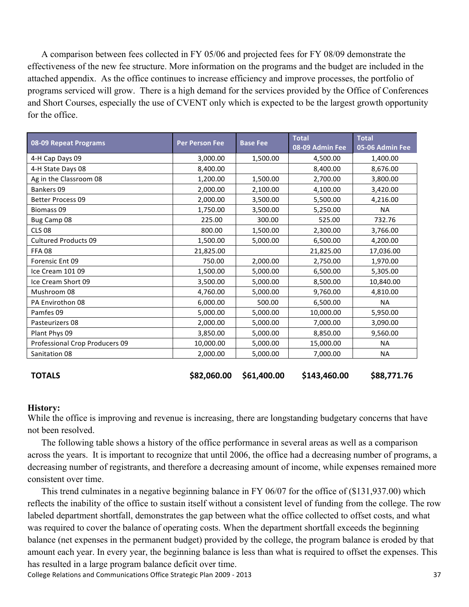A comparison between fees collected in FY 05/06 and projected fees for FY 08/09 demonstrate the effectiveness of the new fee structure. More information on the programs and the budget are included in the attached appendix. As the office continues to increase efficiency and improve processes, the portfolio of programs serviced will grow. There is a high demand for the services provided by the Office of Conferences and Short Courses, especially the use of CVENT only which is expected to be the largest growth opportunity for the office.

| 08-09 Repeat Programs          | <b>Per Person Fee</b> | <b>Base Fee</b> | <b>Total</b><br>08-09 Admin Fee | <b>Total</b><br>05-06 Admin Fee |
|--------------------------------|-----------------------|-----------------|---------------------------------|---------------------------------|
| 4-H Cap Days 09                | 3,000.00              | 1,500.00        | 4,500.00                        | 1,400.00                        |
| 4-H State Days 08              | 8,400.00              |                 | 8,400.00                        | 8,676.00                        |
| Ag in the Classroom 08         | 1,200.00              | 1,500.00        | 2,700.00                        | 3,800.00                        |
| Bankers 09                     | 2,000.00              | 2,100.00        | 4,100.00                        | 3,420.00                        |
| Better Process 09              | 2,000.00              | 3,500.00        | 5,500.00                        | 4,216.00                        |
| <b>Biomass 09</b>              | 1,750.00              | 3,500.00        | 5,250.00                        | <b>NA</b>                       |
| Bug Camp 08                    | 225.00                | 300.00          | 525.00                          | 732.76                          |
| <b>CLS 08</b>                  | 800.00                | 1,500.00        | 2,300.00                        | 3,766.00                        |
| <b>Cultured Products 09</b>    | 1,500.00              | 5,000.00        | 6,500.00                        | 4,200.00                        |
| <b>FFA08</b>                   | 21,825.00             |                 | 21,825.00                       | 17,036.00                       |
| Forensic Ent 09                | 750.00                | 2,000.00        | 2,750.00                        | 1,970.00                        |
| Ice Cream 101 09               | 1,500.00              | 5,000.00        | 6,500.00                        | 5,305.00                        |
| Ice Cream Short 09             | 3,500.00              | 5,000.00        | 8,500.00                        | 10,840.00                       |
| Mushroom 08                    | 4,760.00              | 5,000.00        | 9,760.00                        | 4,810.00                        |
| PA Envirothon 08               | 6,000.00              | 500.00          | 6,500.00                        | <b>NA</b>                       |
| Pamfes 09                      | 5,000.00              | 5,000.00        | 10,000.00                       | 5,950.00                        |
| Pasteurizers 08                | 2,000.00              | 5,000.00        | 7,000.00                        | 3,090.00                        |
| Plant Phys 09                  | 3,850.00              | 5,000.00        | 8,850.00                        | 9,560.00                        |
| Professional Crop Producers 09 | 10,000.00             | 5,000.00        | 15,000.00                       | <b>NA</b>                       |
| Sanitation 08                  | 2,000.00              | 5,000.00        | 7,000.00                        | ΝA                              |

**TOTALS**

**\$82,060.00 \$61,400.00 \$143,460.00 \$88,771.76**

#### **History:**

While the office is improving and revenue is increasing, there are longstanding budgetary concerns that have not been resolved.

The following table shows a history of the office performance in several areas as well as a comparison across the years. It is important to recognize that until 2006, the office had a decreasing number of programs, a decreasing number of registrants, and therefore a decreasing amount of income, while expenses remained more consistent over time.

This trend culminates in a negative beginning balance in FY 06/07 for the office of (\$131,937.00) which reflects the inability of the office to sustain itself without a consistent level of funding from the college. The row labeled department shortfall, demonstrates the gap between what the office collected to offset costs, and what was required to cover the balance of operating costs. When the department shortfall exceeds the beginning balance (net expenses in the permanent budget) provided by the college, the program balance is eroded by that amount each year. In every year, the beginning balance is less than what is required to offset the expenses. This has resulted in a large program balance deficit over time.

College
Relations
and
Communications
Office
Strategic
Plan
2009
‐
2013 37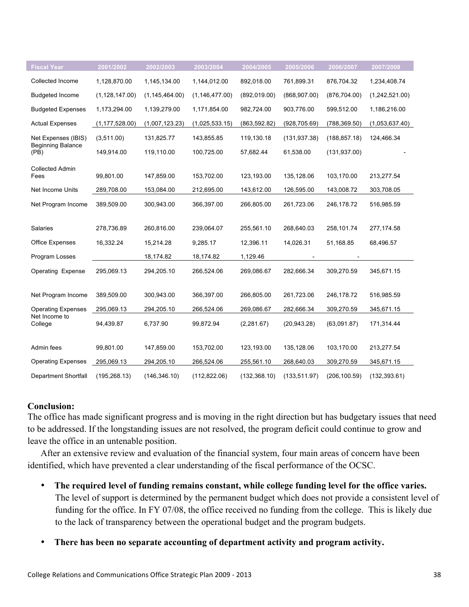| <b>Fiscal Year</b>               | 2001/2002        | 2002/2003        | 2003/2004        | 2004/2005     | 2005/2006     | 2006/2007     | 2007/2008      |
|----------------------------------|------------------|------------------|------------------|---------------|---------------|---------------|----------------|
| Collected Income                 | 1,128,870.00     | 1,145,134.00     | 1,144,012.00     | 892,018.00    | 761,899.31    | 876,704.32    | 1,234,408.74   |
| <b>Budgeted Income</b>           | (1, 128, 147.00) | (1, 145, 464.00) | (1, 146, 477.00) | (892, 019.00) | (868, 907.00) | (876, 704.00) | (1,242,521.00) |
| <b>Budgeted Expenses</b>         | 1,173,294.00     | 1,139,279.00     | 1,171,854.00     | 982,724.00    | 903,776.00    | 599,512.00    | 1,186,216.00   |
| <b>Actual Expenses</b>           | (1, 177, 528.00) | (1,007,123.23)   | (1,025,533.15)   | (863, 592.82) | (928, 705.69) | (788, 369.50) | (1,053,637.40) |
| Net Expenses (IBIS)              | (3,511.00)       | 131,825.77       | 143,855.85       | 119,130.18    | (131, 937.38) | (188, 857.18) | 124,466.34     |
| <b>Beginning Balance</b><br>(PB) | 149,914.00       | 119,110.00       | 100,725.00       | 57,682.44     | 61,538.00     | (131, 937.00) |                |
| <b>Collected Admin</b><br>Fees   | 99,801.00        | 147,859.00       | 153,702.00       | 123,193.00    | 135,128.06    | 103,170.00    | 213,277.54     |
| Net Income Units                 | 289,708.00       | 153,084.00       | 212,695.00       | 143,612.00    | 126,595.00    | 143,008.72    | 303,708.05     |
| Net Program Income               | 389,509.00       | 300,943.00       | 366,397.00       | 266,805.00    | 261,723.06    | 246,178.72    | 516,985.59     |
| Salaries                         | 278,736.89       | 260,816.00       | 239,064.07       | 255,561.10    | 268,640.03    | 258,101.74    | 277,174.58     |
| Office Expenses                  | 16,332.24        | 15,214.28        | 9,285.17         | 12,396.11     | 14,026.31     | 51,168.85     | 68,496.57      |
| Program Losses                   |                  | 18,174.82        | 18,174.82        | 1,129.46      |               |               |                |
| <b>Operating Expense</b>         | 295,069.13       | 294,205.10       | 266,524.06       | 269,086.67    | 282,666.34    | 309,270.59    | 345,671.15     |
| Net Program Income               | 389,509.00       | 300,943.00       | 366,397.00       | 266,805.00    | 261,723.06    | 246,178.72    | 516,985.59     |
| <b>Operating Expenses</b>        | 295,069.13       | 294,205.10       | 266,524.06       | 269,086.67    | 282,666.34    | 309,270.59    | 345,671.15     |
| Net Income to<br>College         | 94,439.87        | 6,737.90         | 99,872.94        | (2, 281.67)   | (20, 943.28)  | (63,091.87)   | 171,314.44     |
| Admin fees                       | 99,801.00        | 147,859.00       | 153,702.00       | 123,193.00    | 135,128.06    | 103,170.00    | 213,277.54     |
| <b>Operating Expenses</b>        | 295,069.13       | 294,205.10       | 266,524.06       | 255,561.10    | 268,640.03    | 309,270.59    | 345,671.15     |
| <b>Department Shortfall</b>      | (195, 268.13)    | (146, 346.10)    | (112, 822.06)    | (132, 368.10) | (133, 511.97) | (206, 100.59) | (132, 393.61)  |

#### **Conclusion:**

The office has made significant progress and is moving in the right direction but has budgetary issues that need to be addressed. If the longstanding issues are not resolved, the program deficit could continue to grow and leave the office in an untenable position.

After an extensive review and evaluation of the financial system, four main areas of concern have been identified, which have prevented a clear understanding of the fiscal performance of the OCSC.

- **The required level of funding remains constant, while college funding level for the office varies.**  The level of support is determined by the permanent budget which does not provide a consistent level of funding for the office. In FY 07/08, the office received no funding from the college. This is likely due to the lack of transparency between the operational budget and the program budgets.
- **There has been no separate accounting of department activity and program activity.**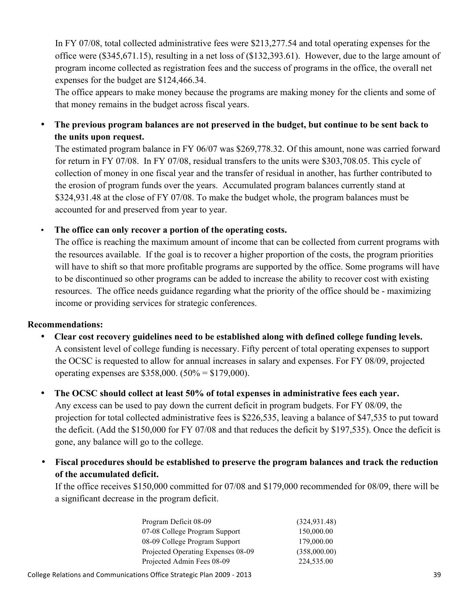In FY 07/08, total collected administrative fees were \$213,277.54 and total operating expenses for the office were (\$345,671.15), resulting in a net loss of (\$132,393.61). However, due to the large amount of program income collected as registration fees and the success of programs in the office, the overall net expenses for the budget are \$124,466.34.

The office appears to make money because the programs are making money for the clients and some of that money remains in the budget across fiscal years.

• **The previous program balances are not preserved in the budget, but continue to be sent back to the units upon request.**

The estimated program balance in FY 06/07 was \$269,778.32. Of this amount, none was carried forward for return in FY 07/08. In FY 07/08, residual transfers to the units were \$303,708.05. This cycle of collection of money in one fiscal year and the transfer of residual in another, has further contributed to the erosion of program funds over the years. Accumulated program balances currently stand at \$324,931.48 at the close of FY 07/08. To make the budget whole, the program balances must be accounted for and preserved from year to year.

#### • **The office can only recover a portion of the operating costs.**

The office is reaching the maximum amount of income that can be collected from current programs with the resources available. If the goal is to recover a higher proportion of the costs, the program priorities will have to shift so that more profitable programs are supported by the office. Some programs will have to be discontinued so other programs can be added to increase the ability to recover cost with existing resources. The office needs guidance regarding what the priority of the office should be - maximizing income or providing services for strategic conferences.

#### **Recommendations:**

- **Clear cost recovery guidelines need to be established along with defined college funding levels.** A consistent level of college funding is necessary. Fifty percent of total operating expenses to support the OCSC is requested to allow for annual increases in salary and expenses. For FY 08/09, projected operating expenses are \$358,000. (50% = \$179,000).
- **The OCSC should collect at least 50% of total expenses in administrative fees each year.** Any excess can be used to pay down the current deficit in program budgets. For FY 08/09, the projection for total collected administrative fees is \$226,535, leaving a balance of \$47,535 to put toward the deficit. (Add the \$150,000 for FY 07/08 and that reduces the deficit by \$197,535). Once the deficit is gone, any balance will go to the college.
- **Fiscal procedures should be established to preserve the program balances and track the reduction of the accumulated deficit.**

If the office receives \$150,000 committed for 07/08 and \$179,000 recommended for 08/09, there will be a significant decrease in the program deficit.

| Program Deficit 08-09              | (324, 931.48) |
|------------------------------------|---------------|
| 07-08 College Program Support      | 150,000.00    |
| 08-09 College Program Support      | 179,000.00    |
| Projected Operating Expenses 08-09 | (358,000.00)  |
| Projected Admin Fees 08-09         | 224,535.00    |